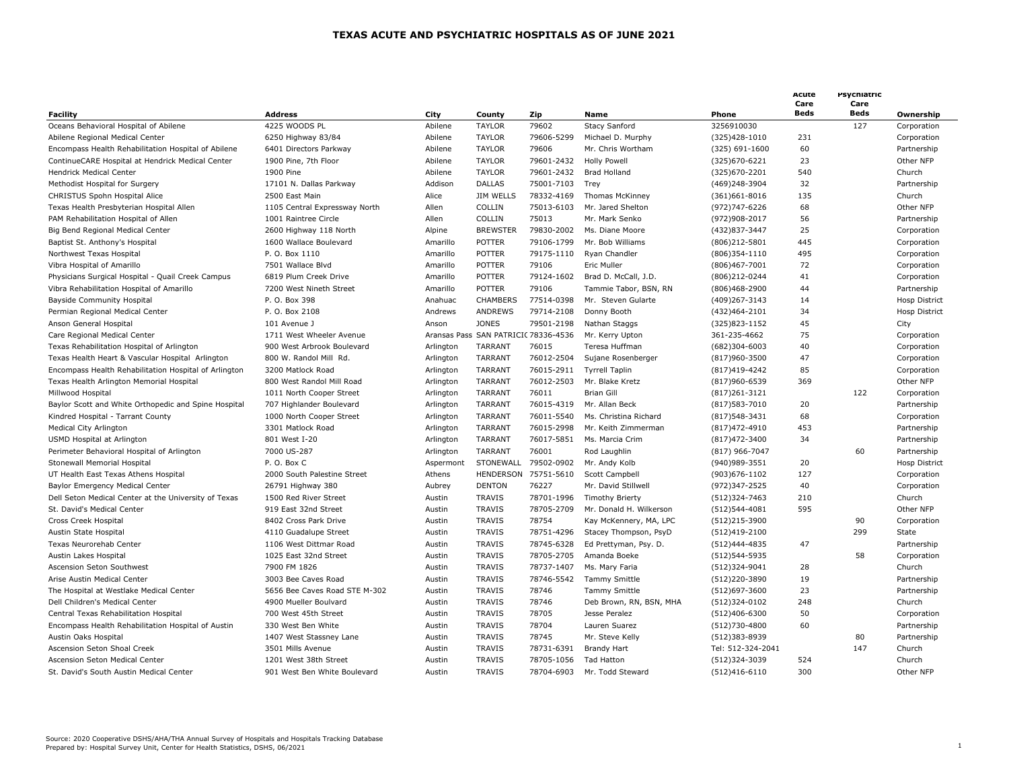|                                                       |                               |           |                 |                                      |                         |                   | Acute<br>Care | Psychiatric<br>Care |                      |
|-------------------------------------------------------|-------------------------------|-----------|-----------------|--------------------------------------|-------------------------|-------------------|---------------|---------------------|----------------------|
| Facility                                              | <b>Address</b>                | City      | County          | Zip                                  | <b>Name</b>             | Phone             | Beds          | Beds                | Ownership            |
| Oceans Behavioral Hospital of Abilene                 | 4225 WOODS PL                 | Abilene   | <b>TAYLOR</b>   | 79602                                | Stacy Sanford           | 3256910030        |               | 127                 | Corporation          |
| Abilene Regional Medical Center                       | 6250 Highway 83/84            | Abilene   | <b>TAYLOR</b>   | 79606-5299                           | Michael D. Murphy       | (325)428-1010     | 231           |                     | Corporation          |
| Encompass Health Rehabilitation Hospital of Abilene   | 6401 Directors Parkway        | Abilene   | <b>TAYLOR</b>   | 79606                                | Mr. Chris Wortham       | (325) 691-1600    | 60            |                     | Partnership          |
| ContinueCARE Hospital at Hendrick Medical Center      | 1900 Pine, 7th Floor          | Abilene   | <b>TAYLOR</b>   | 79601-2432                           | <b>Holly Powell</b>     | (325)670-6221     | 23            |                     | Other NFP            |
| Hendrick Medical Center                               | 1900 Pine                     | Abilene   | <b>TAYLOR</b>   | 79601-2432                           | <b>Brad Holland</b>     | (325) 670 - 2201  | 540           |                     | Church               |
| Methodist Hospital for Surgery                        | 17101 N. Dallas Parkway       | Addison   | <b>DALLAS</b>   | 75001-7103                           | Trey                    | (469)248-3904     | 32            |                     | Partnership          |
| CHRISTUS Spohn Hospital Alice                         | 2500 East Main                | Alice     | JIM WELLS       | 78332-4169                           | <b>Thomas McKinney</b>  | $(361)661 - 8016$ | 135           |                     | Church               |
| Texas Health Presbyterian Hospital Allen              | 1105 Central Expressway North | Allen     | COLLIN          | 75013-6103                           | Mr. Jared Shelton       | (972)747-6226     | 68            |                     | Other NFP            |
| PAM Rehabilitation Hospital of Allen                  | 1001 Raintree Circle          | Allen     | COLLIN          | 75013                                | Mr. Mark Senko          | (972)908-2017     | 56            |                     | Partnership          |
| Big Bend Regional Medical Center                      | 2600 Highway 118 North        | Alpine    | <b>BREWSTER</b> | 79830-2002                           | Ms. Diane Moore         | (432)837-3447     | 25            |                     | Corporation          |
| Baptist St. Anthony's Hospital                        | 1600 Wallace Boulevard        | Amarillo  | <b>POTTER</b>   | 79106-1799                           | Mr. Bob Williams        | (806)212-5801     | 445           |                     | Corporation          |
| Northwest Texas Hospital                              | P. O. Box 1110                | Amarillo  | <b>POTTER</b>   | 79175-1110                           | Ryan Chandler           | $(806)354-1110$   | 495           |                     | Corporation          |
| Vibra Hospital of Amarillo                            | 7501 Wallace Blvd             | Amarillo  | <b>POTTER</b>   | 79106                                | Eric Muller             | (806)467-7001     | 72            |                     | Corporation          |
| Physicians Surgical Hospital - Quail Creek Campus     | 6819 Plum Creek Drive         | Amarillo  | <b>POTTER</b>   | 79124-1602                           | Brad D. McCall, J.D.    | (806)212-0244     | 41            |                     | Corporation          |
| Vibra Rehabilitation Hospital of Amarillo             | 7200 West Nineth Street       | Amarillo  | <b>POTTER</b>   | 79106                                | Tammie Tabor, BSN, RN   | (806)468-2900     | 44            |                     | Partnership          |
| <b>Bayside Community Hospital</b>                     | P. O. Box 398                 | Anahuac   | CHAMBERS        | 77514-0398                           | Mr. Steven Gularte      | (409)267-3143     | 14            |                     | <b>Hosp District</b> |
| Permian Regional Medical Center                       | P. O. Box 2108                | Andrews   | ANDREWS         | 79714-2108                           | Donny Booth             | (432)464-2101     | 34            |                     | Hosp District        |
| Anson General Hospital                                | 101 Avenue J                  | Anson     | <b>JONES</b>    | 79501-2198                           | Nathan Staggs           | (325)823-1152     | 45            |                     | City                 |
| Care Regional Medical Center                          | 1711 West Wheeler Avenue      |           |                 | Aransas Pass SAN PATRICIC 78336-4536 | Mr. Kerry Upton         | 361-235-4662      | 75            |                     | Corporation          |
| Texas Rehabilitation Hospital of Arlington            | 900 West Arbrook Boulevard    | Arlington | <b>TARRANT</b>  | 76015                                | Teresa Huffman          | $(682)304 - 6003$ | 40            |                     | Corporation          |
| Texas Health Heart & Vascular Hospital Arlington      | 800 W. Randol Mill Rd.        | Arlington | <b>TARRANT</b>  | 76012-2504                           | Sujane Rosenberger      | (817)960-3500     | 47            |                     | Corporation          |
| Encompass Health Rehabilitation Hospital of Arlington | 3200 Matlock Road             | Arlington | <b>TARRANT</b>  | 76015-2911                           | <b>Tyrrell Taplin</b>   | (817)419-4242     | 85            |                     | Corporation          |
| Texas Health Arlington Memorial Hospital              | 800 West Randol Mill Road     | Arlington | <b>TARRANT</b>  | 76012-2503                           | Mr. Blake Kretz         | (817)960-6539     | 369           |                     | Other NFP            |
| Millwood Hospital                                     | 1011 North Cooper Street      | Arlington | <b>TARRANT</b>  | 76011                                | <b>Brian Gill</b>       | $(817)261 - 3121$ |               | 122                 | Corporation          |
| Baylor Scott and White Orthopedic and Spine Hospital  | 707 Highlander Boulevard      | Arlington | <b>TARRANT</b>  | 76015-4319                           | Mr. Allan Beck          | (817) 583-7010    | 20            |                     | Partnership          |
| Kindred Hospital - Tarrant County                     | 1000 North Cooper Street      | Arlington | <b>TARRANT</b>  | 76011-5540                           | Ms. Christina Richard   | (817) 548 - 3431  | 68            |                     | Corporation          |
| Medical City Arlington                                | 3301 Matlock Road             | Arlington | <b>TARRANT</b>  | 76015-2998                           | Mr. Keith Zimmerman     | (817) 472-4910    | 453           |                     | Partnership          |
| USMD Hospital at Arlington                            | 801 West I-20                 | Arlington | <b>TARRANT</b>  | 76017-5851                           | Ms. Marcia Crim         | (817) 472 - 3400  | 34            |                     | Partnership          |
| Perimeter Behavioral Hospital of Arlington            | 7000 US-287                   | Arlington | <b>TARRANT</b>  | 76001                                | Rod Laughlin            | $(817)$ 966-7047  |               | 60                  | Partnership          |
| Stonewall Memorial Hospital                           | P.O. Box C                    | Aspermont | STONEWALL       | 79502-0902                           | Mr. Andy Kolb           | (940) 989 - 3551  | 20            |                     | Hosp District        |
| UT Health East Texas Athens Hospital                  | 2000 South Palestine Street   | Athens    | HENDERSON       | 75751-5610                           | Scott Campbell          | (903) 676-1102    | 127           |                     | Corporation          |
| Baylor Emergency Medical Center                       | 26791 Highway 380             | Aubrey    | <b>DENTON</b>   | 76227                                | Mr. David Stillwell     | (972)347-2525     | 40            |                     | Corporation          |
| Dell Seton Medical Center at the University of Texas  | 1500 Red River Street         | Austin    | <b>TRAVIS</b>   | 78701-1996                           | <b>Timothy Brierty</b>  | (512)324-7463     | 210           |                     | Church               |
| St. David's Medical Center                            | 919 East 32nd Street          | Austin    | <b>TRAVIS</b>   | 78705-2709                           | Mr. Donald H. Wilkerson | $(512)544 - 4081$ | 595           |                     | Other NFP            |
| Cross Creek Hospital                                  | 8402 Cross Park Drive         | Austin    | <b>TRAVIS</b>   | 78754                                | Kay McKennery, MA, LPC  | (512)215-3900     |               | 90                  | Corporation          |
| Austin State Hospital                                 | 4110 Guadalupe Street         | Austin    | <b>TRAVIS</b>   | 78751-4296                           | Stacey Thompson, PsyD   | (512)419-2100     |               | 299                 | State                |
| Texas Neurorehab Center                               | 1106 West Dittmar Road        | Austin    | <b>TRAVIS</b>   | 78745-6328                           | Ed Prettyman, Psy. D.   | (512)444-4835     | 47            |                     | Partnership          |
| Austin Lakes Hospital                                 | 1025 East 32nd Street         | Austin    | <b>TRAVIS</b>   | 78705-2705                           | Amanda Boeke            | (512) 544-5935    |               | 58                  | Corporation          |
| Ascension Seton Southwest                             | 7900 FM 1826                  | Austin    | <b>TRAVIS</b>   | 78737-1407                           | Ms. Mary Faria          | (512)324-9041     | 28            |                     | Church               |
| Arise Austin Medical Center                           | 3003 Bee Caves Road           | Austin    | <b>TRAVIS</b>   | 78746-5542                           | Tammy Smittle           | (512)220-3890     | 19            |                     | Partnership          |
| The Hospital at Westlake Medical Center               | 5656 Bee Caves Road STE M-302 | Austin    | <b>TRAVIS</b>   | 78746                                | <b>Tammy Smittle</b>    | (512)697-3600     | 23            |                     | Partnership          |
| Dell Children's Medical Center                        | 4900 Mueller Boulvard         | Austin    | <b>TRAVIS</b>   | 78746                                | Deb Brown, RN, BSN, MHA | (512)324-0102     | 248           |                     | Church               |
| Central Texas Rehabilitation Hospital                 | 700 West 45th Street          | Austin    | <b>TRAVIS</b>   | 78705                                | Jesse Peralez           | (512)406-6300     | 50            |                     | Corporation          |
| Encompass Health Rehabilitation Hospital of Austin    | 330 West Ben White            | Austin    | <b>TRAVIS</b>   | 78704                                | Lauren Suarez           | (512)730-4800     | 60            |                     | Partnership          |
| Austin Oaks Hospital                                  | 1407 West Stassney Lane       | Austin    | <b>TRAVIS</b>   | 78745                                | Mr. Steve Kelly         | (512)383-8939     |               | 80                  | Partnership          |
| Ascension Seton Shoal Creek                           | 3501 Mills Avenue             | Austin    | <b>TRAVIS</b>   | 78731-6391                           | <b>Brandy Hart</b>      | Tel: 512-324-2041 |               | 147                 | Church               |
| Ascension Seton Medical Center                        | 1201 West 38th Street         | Austin    | <b>TRAVIS</b>   | 78705-1056                           | <b>Tad Hatton</b>       | (512)324-3039     | 524           |                     | Church               |
| St. David's South Austin Medical Center               | 901 West Ben White Boulevard  | Austin    | <b>TRAVIS</b>   | 78704-6903                           | Mr. Todd Steward        | $(512)416 - 6110$ | 300           |                     | Other NFP            |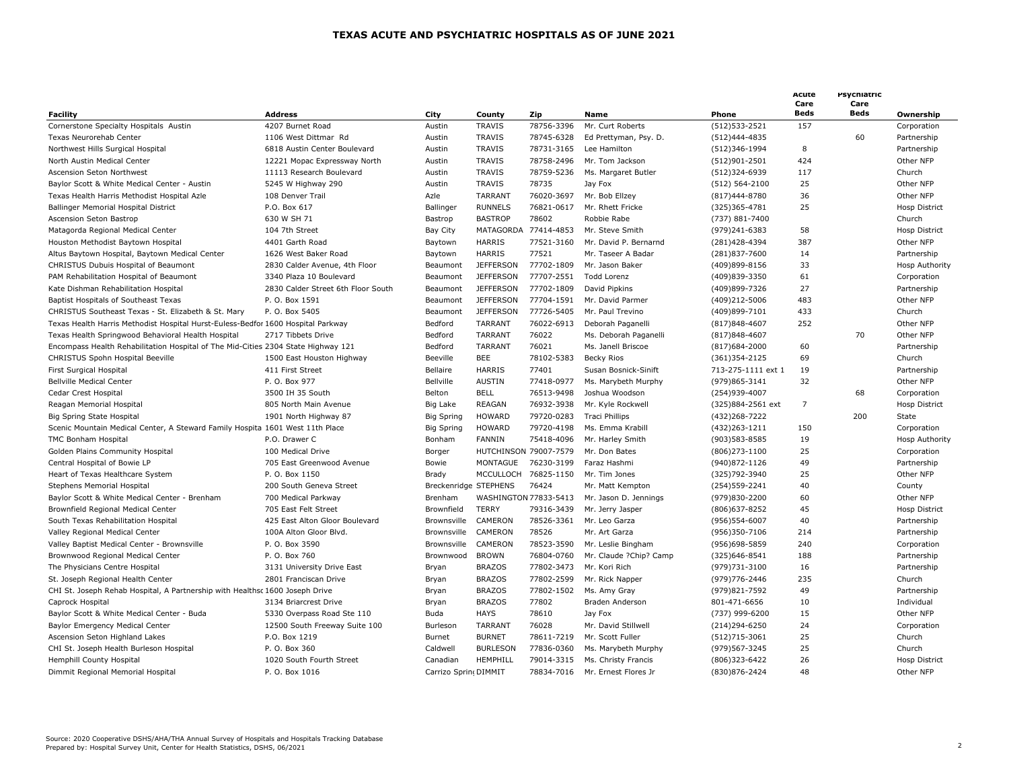| <b>Facility</b>                                                                   | <b>Address</b>                     | City                  | County           | Zip                   | <b>Name</b>            | Phone              | Acute<br>Care<br><b>Beds</b> | Psychiatric<br>Care<br><b>Beds</b> | Ownership             |
|-----------------------------------------------------------------------------------|------------------------------------|-----------------------|------------------|-----------------------|------------------------|--------------------|------------------------------|------------------------------------|-----------------------|
| Cornerstone Specialty Hospitals Austin                                            | 4207 Burnet Road                   | Austin                | <b>TRAVIS</b>    | 78756-3396            | Mr. Curt Roberts       | (512) 533 - 2521   | 157                          |                                    | Corporation           |
| Texas Neurorehab Center                                                           | 1106 West Dittmar Rd               | Austin                | <b>TRAVIS</b>    | 78745-6328            | Ed Prettyman, Psy. D.  | (512)444-4835      |                              | 60                                 | Partnership           |
| Northwest Hills Surgical Hospital                                                 | 6818 Austin Center Boulevard       | Austin                | <b>TRAVIS</b>    | 78731-3165            | Lee Hamilton           | (512)346-1994      | 8                            |                                    | Partnership           |
| North Austin Medical Center                                                       | 12221 Mopac Expressway North       | Austin                | <b>TRAVIS</b>    | 78758-2496            | Mr. Tom Jackson        | (512)901-2501      | 424                          |                                    | Other NFP             |
| Ascension Seton Northwest                                                         | 11113 Research Boulevard           | Austin                | <b>TRAVIS</b>    | 78759-5236            | Ms. Margaret Butler    | (512)324-6939      | 117                          |                                    | Church                |
| Baylor Scott & White Medical Center - Austin                                      | 5245 W Highway 290                 | Austin                | <b>TRAVIS</b>    | 78735                 | Jay Fox                | (512) 564-2100     | 25                           |                                    | Other NFP             |
| Texas Health Harris Methodist Hospital Azle                                       | 108 Denver Trail                   | Azle                  | TARRANT          | 76020-3697            | Mr. Bob Ellzey         | (817) 444-8780     | 36                           |                                    | Other NFP             |
| Ballinger Memorial Hospital District                                              | P.O. Box 617                       | Ballinger             | <b>RUNNELS</b>   | 76821-0617            | Mr. Rhett Fricke       | (325)365-4781      | 25                           |                                    | <b>Hosp District</b>  |
| Ascension Seton Bastrop                                                           | 630 W SH 71                        | Bastrop               | <b>BASTROP</b>   | 78602                 | Robbie Rabe            | (737) 881-7400     |                              |                                    | Church                |
| Matagorda Regional Medical Center                                                 | 104 7th Street                     | Bay City              | MATAGORDA        | 77414-4853            | Mr. Steve Smith        | (979)241-6383      | 58                           |                                    | <b>Hosp District</b>  |
| Houston Methodist Baytown Hospital                                                | 4401 Garth Road                    | Baytown               | <b>HARRIS</b>    | 77521-3160            | Mr. David P. Bernarnd  | (281)428-4394      | 387                          |                                    | Other NFP             |
|                                                                                   | 1626 West Baker Road               | Baytown               | <b>HARRIS</b>    | 77521                 | Mr. Taseer A Badar     | (281)837-7600      | 14                           |                                    | Partnership           |
| Altus Baytown Hospital, Baytown Medical Center                                    |                                    |                       |                  |                       |                        |                    |                              |                                    |                       |
| CHRISTUS Dubuis Hospital of Beaumont                                              | 2830 Calder Avenue, 4th Floor      | Beaumont              | <b>JEFFERSON</b> | 77702-1809            | Mr. Jason Baker        | (409)899-8156      | 33                           |                                    | <b>Hosp Authority</b> |
| PAM Rehabilitation Hospital of Beaumont                                           | 3340 Plaza 10 Boulevard            | Beaumont              | <b>JEFFERSON</b> | 77707-2551            | Todd Lorenz            | (409)839-3350      | 61                           |                                    | Corporation           |
| Kate Dishman Rehabilitation Hospital                                              | 2830 Calder Street 6th Floor South | Beaumont              | <b>JEFFERSON</b> | 77702-1809            | David Pipkins          | (409)899-7326      | 27                           |                                    | Partnership           |
| Baptist Hospitals of Southeast Texas                                              | P. O. Box 1591                     | Beaumont              | <b>JEFFERSON</b> | 77704-1591            | Mr. David Parmer       | (409)212-5006      | 483                          |                                    | Other NFP             |
| CHRISTUS Southeast Texas - St. Elizabeth & St. Mary                               | P. O. Box 5405                     | Beaumont              | <b>JEFFERSON</b> | 77726-5405            | Mr. Paul Trevino       | (409)899-7101      | 433                          |                                    | Church                |
| Texas Health Harris Methodist Hospital Hurst-Euless-Bedfor 1600 Hospital Parkway  |                                    | Bedford               | <b>TARRANT</b>   | 76022-6913            | Deborah Paganelli      | $(817)848 - 4607$  | 252                          |                                    | Other NFP             |
| Texas Health Springwood Behavioral Health Hospital                                | 2717 Tibbets Drive                 | Bedford               | <b>TARRANT</b>   | 76022                 | Ms. Deborah Paganelli  | $(817)848 - 4607$  |                              | 70                                 | Other NFP             |
| Encompass Health Rehabilitation Hospital of The Mid-Cities 2304 State Highway 121 |                                    | Bedford               | <b>TARRANT</b>   | 76021                 | Ms. Janell Briscoe     | (817)684-2000      | 60                           |                                    | Partnership           |
| CHRISTUS Spohn Hospital Beeville                                                  | 1500 East Houston Highway          | Beeville              | <b>BEE</b>       | 78102-5383            | Becky Rios             | (361) 354-2125     | 69                           |                                    | Church                |
| First Surgical Hospital                                                           | 411 First Street                   | Bellaire              | <b>HARRIS</b>    | 77401                 | Susan Bosnick-Sinift   | 713-275-1111 ext 1 | 19                           |                                    | Partnership           |
| <b>Bellville Medical Center</b>                                                   | P. O. Box 977                      | Bellville             | <b>AUSTIN</b>    | 77418-0977            | Ms. Marybeth Murphy    | (979)865-3141      | 32                           |                                    | Other NFP             |
| Cedar Crest Hospital                                                              | 3500 IH 35 South                   | Belton                | <b>BELL</b>      | 76513-9498            | Joshua Woodson         | (254)939-4007      |                              | 68                                 | Corporation           |
| Reagan Memorial Hospital                                                          | 805 North Main Avenue              | Big Lake              | <b>REAGAN</b>    | 76932-3938            | Mr. Kyle Rockwell      | (325)884-2561 ext  | $\overline{7}$               |                                    | <b>Hosp District</b>  |
| Big Spring State Hospital                                                         | 1901 North Highway 87              | <b>Big Spring</b>     | <b>HOWARD</b>    | 79720-0283            | <b>Traci Phillips</b>  | (432) 268 - 7222   |                              | 200                                | State                 |
| Scenic Mountain Medical Center, A Steward Family Hospita 1601 West 11th Place     |                                    | <b>Big Spring</b>     | <b>HOWARD</b>    | 79720-4198            | Ms. Emma Krabill       | (432)263-1211      | 150                          |                                    | Corporation           |
| TMC Bonham Hospital                                                               | P.O. Drawer C                      | Bonham                | FANNIN           | 75418-4096            | Mr. Harley Smith       | (903) 583-8585     | 19                           |                                    | <b>Hosp Authority</b> |
| Golden Plains Community Hospital                                                  | 100 Medical Drive                  | Borger                |                  | HUTCHINSON 79007-7579 | Mr. Don Bates          | (806)273-1100      | 25                           |                                    | Corporation           |
| Central Hospital of Bowie LP                                                      | 705 East Greenwood Avenue          | Bowie                 | MONTAGUE         | 76230-3199            | Faraz Hashmi           | (940)872-1126      | 49                           |                                    | Partnership           |
| Heart of Texas Healthcare System                                                  | P. O. Box 1150                     | Brady                 | MCCULLOCH        | 76825-1150            | Mr. Tim Jones          | (325) 792 - 3940   | 25                           |                                    | Other NFP             |
| Stephens Memorial Hospital                                                        | 200 South Geneva Street            | Breckenridge STEPHENS |                  | 76424                 | Mr. Matt Kempton       | (254) 559 - 2241   | 40                           |                                    | County                |
| Baylor Scott & White Medical Center - Brenham                                     | 700 Medical Parkway                | Brenham               |                  | WASHINGTON 77833-5413 | Mr. Jason D. Jennings  | (979)830-2200      | 60                           |                                    | Other NFP             |
| Brownfield Regional Medical Center                                                | 705 East Felt Street               | Brownfield            | <b>TERRY</b>     | 79316-3439            | Mr. Jerry Jasper       | (806) 637-8252     | 45                           |                                    | <b>Hosp District</b>  |
| South Texas Rehabilitation Hospital                                               | 425 East Alton Gloor Boulevard     | Brownsville           | CAMERON          | 78526-3361            | Mr. Leo Garza          | (956) 554-6007     | 40                           |                                    | Partnership           |
| Valley Regional Medical Center                                                    | 100A Alton Gloor Blvd.             | Brownsville           | CAMERON          | 78526                 | Mr. Art Garza          | (956)350-7106      | 214                          |                                    | Partnership           |
| Valley Baptist Medical Center - Brownsville                                       | P. O. Box 3590                     | Brownsville           | CAMERON          | 78523-3590            | Mr. Leslie Bingham     | (956)698-5859      | 240                          |                                    | Corporation           |
| Brownwood Regional Medical Center                                                 | P. O. Box 760                      | Brownwood             | <b>BROWN</b>     | 76804-0760            | Mr. Claude ?Chip? Camp | (325)646-8541      | 188                          |                                    | Partnership           |
| The Physicians Centre Hospital                                                    | 3131 University Drive East         |                       | <b>BRAZOS</b>    | 77802-3473            | Mr. Kori Rich          | (979)731-3100      | 16                           |                                    | Partnership           |
|                                                                                   |                                    | Bryan                 |                  |                       |                        |                    |                              |                                    |                       |
| St. Joseph Regional Health Center                                                 | 2801 Franciscan Drive              | Bryan                 | <b>BRAZOS</b>    | 77802-2599            | Mr. Rick Napper        | (979)776-2446      | 235                          |                                    | Church                |
| CHI St. Joseph Rehab Hospital, A Partnership with Healthsc 1600 Joseph Drive      |                                    | Bryan                 | <b>BRAZOS</b>    | 77802-1502            | Ms. Amy Gray           | (979)821-7592      | 49                           |                                    | Partnership           |
| Caprock Hospital                                                                  | 3134 Briarcrest Drive              | Bryan                 | <b>BRAZOS</b>    | 77802                 | Braden Anderson        | 801-471-6656       | 10                           |                                    | Individual            |
| Baylor Scott & White Medical Center - Buda                                        | 5330 Overpass Road Ste 110         | Buda                  | <b>HAYS</b>      | 78610                 | Jay Fox                | (737) 999-6200     | 15                           |                                    | Other NFP             |
| Baylor Emergency Medical Center                                                   | 12500 South Freeway Suite 100      | Burleson              | <b>TARRANT</b>   | 76028                 | Mr. David Stillwell    | (214) 294-6250     | 24                           |                                    | Corporation           |
| Ascension Seton Highland Lakes                                                    | P.O. Box 1219                      | Burnet                | <b>BURNET</b>    | 78611-7219            | Mr. Scott Fuller       | $(512)715 - 3061$  | 25                           |                                    | Church                |
| CHI St. Joseph Health Burleson Hospital                                           | P. O. Box 360                      | Caldwell              | <b>BURLESON</b>  | 77836-0360            | Ms. Marybeth Murphy    | (979) 567 - 3245   | 25                           |                                    | Church                |
| Hemphill County Hospital                                                          | 1020 South Fourth Street           | Canadian              | HEMPHILL         | 79014-3315            | Ms. Christy Francis    | (806)323-6422      | 26                           |                                    | <b>Hosp District</b>  |
| Dimmit Regional Memorial Hospital                                                 | P. O. Box 1016                     | Carrizo Sprin DIMMIT  |                  | 78834-7016            | Mr. Ernest Flores Jr   | (830)876-2424      | 48                           |                                    | Other NFP             |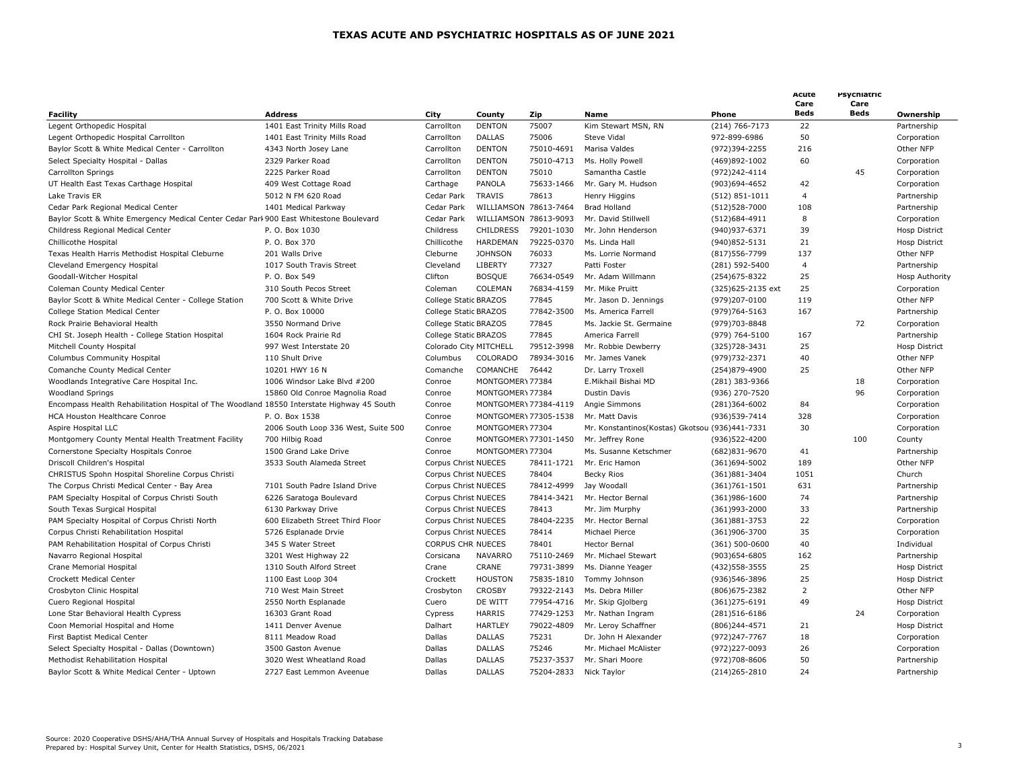|                                                                                            |                                          |                          |                                |                       |                                                |                    | Acute<br>Care  | Psychiatric<br>Care |                      |
|--------------------------------------------------------------------------------------------|------------------------------------------|--------------------------|--------------------------------|-----------------------|------------------------------------------------|--------------------|----------------|---------------------|----------------------|
| <b>Facility</b>                                                                            | <b>Address</b>                           | City                     | County                         | Zip                   | <b>Name</b>                                    | Phone              | Beds           | Beds                | Ownership            |
| Legent Orthopedic Hospital                                                                 | 1401 East Trinity Mills Road             | Carrollton               | <b>DENTON</b>                  | 75007                 | Kim Stewart MSN, RN                            | $(214) 766 - 7173$ | 22             |                     | Partnership          |
| Legent Orthopedic Hospital Carrollton                                                      | 1401 East Trinity Mills Road             | Carrollton               | <b>DALLAS</b>                  | 75006                 | Steve Vidal                                    | 972-899-6986       | 50             |                     | Corporation          |
| Baylor Scott & White Medical Center - Carrollton                                           | 4343 North Josey Lane                    | Carrollton               | <b>DENTON</b>                  | 75010-4691            | Marisa Valdes                                  | (972)394-2255      | 216            |                     | Other NFP            |
| Select Specialty Hospital - Dallas                                                         | 2329 Parker Road                         | Carrollton               | <b>DENTON</b>                  | 75010-4713            | Ms. Holly Powell                               | (469)892-1002      | 60             |                     | Corporation          |
| Carrollton Springs                                                                         | 2225 Parker Road                         | Carrollton               | <b>DENTON</b>                  | 75010                 | Samantha Castle                                | (972)242-4114      |                | 45                  | Corporation          |
| UT Health East Texas Carthage Hospital                                                     | 409 West Cottage Road                    | Carthage                 | PANOLA                         | 75633-1466            | Mr. Gary M. Hudson                             | (903)694-4652      | 42             |                     | Corporation          |
| Lake Travis ER                                                                             | 5012 N FM 620 Road                       | Cedar Park               | <b>TRAVIS</b>                  | 78613                 | Henry Higgins                                  | $(512) 851 - 1011$ | $\overline{4}$ |                     | Partnership          |
| Cedar Park Regional Medical Center                                                         | 1401 Medical Parkway                     | Cedar Park               |                                | WILLIAMSON 78613-7464 | Brad Holland                                   | (512) 528-7000     | 108            |                     | Partnership          |
| Baylor Scott & White Emergency Medical Center Cedar Parl 900 East Whitestone Boulevard     |                                          | Cedar Park               |                                | WILLIAMSON 78613-9093 | Mr. David Stillwell                            | (512)684-4911      | 8              |                     | Corporation          |
| Childress Regional Medical Center                                                          | P. O. Box 1030                           | Childress                | <b>CHILDRESS</b>               | 79201-1030            | Mr. John Henderson                             | (940)937-6371      | 39             |                     | Hosp District        |
| Chillicothe Hospital                                                                       | P. O. Box 370                            | Chillicothe              | HARDEMAN                       | 79225-0370            | Ms. Linda Hall                                 | (940)852-5131      | 21             |                     | <b>Hosp District</b> |
| Texas Health Harris Methodist Hospital Cleburne                                            | 201 Walls Drive                          | Cleburne                 | <b>JOHNSON</b>                 | 76033                 | Ms. Lorrie Normand                             | (817) 556-7799     | 137            |                     | Other NFP            |
| Cleveland Emergency Hospital                                                               | 1017 South Travis Street                 | Cleveland                | LIBERTY                        | 77327                 | Patti Foster                                   | (281) 592-5400     | $\overline{4}$ |                     | Partnership          |
| Goodall-Witcher Hospital                                                                   | P. O. Box 549                            | Clifton                  | <b>BOSQUE</b>                  | 76634-0549            | Mr. Adam Willmann                              | (254) 675-8322     | 25             |                     | Hosp Authority       |
| Coleman County Medical Center                                                              | 310 South Pecos Street                   | Coleman                  | COLEMAN                        | 76834-4159            | Mr. Mike Pruitt                                | (325)625-2135 ext  | 25             |                     | Corporation          |
| Baylor Scott & White Medical Center - College Station                                      | 700 Scott & White Drive                  | College Static BRAZOS    |                                | 77845                 | Mr. Jason D. Jennings                          | (979)207-0100      | 119            |                     | Other NFP            |
| College Station Medical Center                                                             | P. O. Box 10000                          | College Static BRAZOS    |                                | 77842-3500            | Ms. America Farrell                            | (979) 764-5163     | 167            |                     | Partnership          |
| Rock Prairie Behavioral Health                                                             | 3550 Normand Drive                       | College Static BRAZOS    |                                | 77845                 | Ms. Jackie St. Germaine                        | (979)703-8848      |                | 72                  | Corporation          |
| CHI St. Joseph Health - College Station Hospital                                           | 1604 Rock Prairie Rd                     | College Static BRAZOS    |                                | 77845                 | America Farrell                                | (979) 764-5100     | 167            |                     | Partnership          |
| Mitchell County Hospital                                                                   | 997 West Interstate 20                   |                          | Colorado City MITCHELL         | 79512-3998            | Mr. Robbie Dewberry                            | (325) 728 - 3431   | 25             |                     | Hosp District        |
| Columbus Community Hospital                                                                | 110 Shult Drive                          | Columbus                 | COLORADO                       | 78934-3016            | Mr. James Vanek                                | (979)732-2371      | 40             |                     | Other NFP            |
| Comanche County Medical Center                                                             | 10201 HWY 16 N                           | Comanche                 | COMANCHE                       | 76442                 | Dr. Larry Troxell                              | (254)879-4900      | 25             |                     | Other NFP            |
| Woodlands Integrative Care Hospital Inc.                                                   | 1006 Windsor Lake Blvd #200              | Conroe                   | MONTGOMERY 77384               |                       | E.Mikhail Bishai MD                            | (281) 383-9366     |                | 18                  | Corporation          |
| <b>Woodland Springs</b>                                                                    | 15860 Old Conroe Magnolia Road           | Conroe                   | MONTGOMERY 77384               |                       | Dustin Davis                                   | (936) 270-7520     |                | 96                  | Corporation          |
| Encompass Health Rehabilitation Hospital of The Woodland 18550 Interstate Highway 45 South |                                          | Conroe                   |                                | MONTGOMER\ 77384-4119 | Angie Simmons                                  | (281)364-6002      | 84             |                     | Corporation          |
| HCA Houston Healthcare Conroe                                                              | P. O. Box 1538                           | Conroe                   |                                | MONTGOMER\ 77305-1538 | Mr. Matt Davis                                 | (936) 539-7414     | 328            |                     | Corporation          |
| Aspire Hospital LLC                                                                        | 2006 South Loop 336 West, Suite 500      | Conroe                   | MONTGOMERY 77304               |                       | Mr. Konstantinos(Kostas) Gkotsou (936)441-7331 |                    | 30             |                     | Corporation          |
| Montgomery County Mental Health Treatment Facility                                         | 700 Hilbig Road                          | Conroe                   |                                | MONTGOMER\ 77301-1450 | Mr. Jeffrey Rone                               | (936) 522-4200     |                | 100                 | County               |
| Cornerstone Specialty Hospitals Conroe                                                     | 1500 Grand Lake Drive                    | Conroe                   | MONTGOMERY 77304               |                       | Ms. Susanne Ketschmer                          | (682) 831-9670     | 41             |                     | Partnership          |
| Driscoll Children's Hospital                                                               | 3533 South Alameda Street                | Corpus Christ NUECES     |                                | 78411-1721            | Mr. Eric Hamon                                 | (361)694-5002      | 189            |                     | Other NFP            |
| CHRISTUS Spohn Hospital Shoreline Corpus Christi                                           |                                          | Corpus Christ NUECES     |                                | 78404                 | <b>Becky Rios</b>                              | (361)881-3404      | 1051           |                     | Church               |
| The Corpus Christi Medical Center - Bay Area                                               | 7101 South Padre Island Drive            | Corpus Christ NUECES     |                                | 78412-4999            | Jay Woodall                                    | $(361)761 - 1501$  | 631            |                     | Partnership          |
| PAM Specialty Hospital of Corpus Christi South                                             | 6226 Saratoga Boulevard                  | Corpus Christ NUECES     |                                | 78414-3421            | Mr. Hector Bernal                              | (361)986-1600      | 74             |                     | Partnership          |
| South Texas Surgical Hospital                                                              | 6130 Parkway Drive                       | Corpus Christ NUECES     |                                | 78413                 | Mr. Jim Murphy                                 | (361)993-2000      | 33             |                     | Partnership          |
| PAM Specialty Hospital of Corpus Christi North                                             | 600 Elizabeth Street Third Floor         | Corpus Christ NUECES     |                                | 78404-2235            | Mr. Hector Bernal                              | (361)881-3753      | 22             |                     | Corporation          |
| Corpus Christi Rehabilitation Hospital                                                     | 5726 Esplanade Drvie                     | Corpus Christ NUECES     |                                | 78414                 | Michael Pierce                                 | (361)906-3700      | 35             |                     | Corporation          |
| PAM Rehabilitation Hospital of Corpus Christi                                              | 345 S Water Street                       | <b>CORPUS CHR NUECES</b> |                                | 78401                 | <b>Hector Bernal</b>                           | $(361) 500 - 0600$ | 40             |                     | Individual           |
| Navarro Regional Hospital                                                                  | 3201 West Highway 22                     | Corsicana                | <b>NAVARRO</b>                 | 75110-2469            | Mr. Michael Stewart                            | (903)654-6805      | 162            |                     | Partnership          |
| Crane Memorial Hospital                                                                    | 1310 South Alford Street                 | Crane                    | CRANE                          | 79731-3899            | Ms. Dianne Yeager                              | (432) 558-3555     | 25             |                     | <b>Hosp District</b> |
| Crockett Medical Center                                                                    | 1100 East Loop 304                       | Crockett                 | <b>HOUSTON</b>                 | 75835-1810            | Tommy Johnson                                  | (936)546-3896      | 25             |                     | Hosp District        |
| Crosbyton Clinic Hospital                                                                  | 710 West Main Street                     | Crosbyton                | <b>CROSBY</b>                  | 79322-2143            | Ms. Debra Miller                               | (806) 675-2382     | $\overline{2}$ |                     | Other NFP            |
|                                                                                            |                                          | Cuero                    | DE WITT                        | 77954-4716            |                                                | $(361)$ 275-6191   | 49             |                     |                      |
| Cuero Regional Hospital                                                                    | 2550 North Esplanade<br>16303 Grant Road |                          | <b>HARRIS</b>                  | 77429-1253            | Mr. Skip Gjolberg<br>Mr. Nathan Ingram         | (281)516-6186      |                | 24                  | Hosp District        |
| Lone Star Behavioral Health Cypress                                                        |                                          | Cypress                  | <b>HARTLEY</b>                 | 79022-4809            |                                                |                    |                |                     | Corporation          |
| Coon Memorial Hospital and Home                                                            | 1411 Denver Avenue                       | Dalhart                  | <b>DALLAS</b>                  | 75231                 | Mr. Leroy Schaffner<br>Dr. John H Alexander    | (806)244-4571      | 21             |                     | Hosp District        |
| First Baptist Medical Center                                                               | 8111 Meadow Road                         | Dallas                   |                                |                       |                                                | (972)247-7767      | 18             |                     | Corporation          |
| Select Specialty Hospital - Dallas (Downtown)                                              | 3500 Gaston Avenue                       | Dallas                   | <b>DALLAS</b>                  | 75246                 | Mr. Michael McAlister                          | (972)227-0093      | 26             |                     | Corporation          |
| Methodist Rehabilitation Hospital                                                          | 3020 West Wheatland Road                 | Dallas<br><b>Dallas</b>  | <b>DALLAS</b><br><b>DALLAS</b> | 75237-3537            | Mr. Shari Moore                                | (972)708-8606      | 50<br>24       |                     | Partnership          |
| Baylor Scott & White Medical Center - Uptown                                               | 2727 East Lemmon Aveenue                 |                          |                                | 75204-2833            | Nick Taylor                                    | (214) 265 - 2810   |                |                     | Partnership          |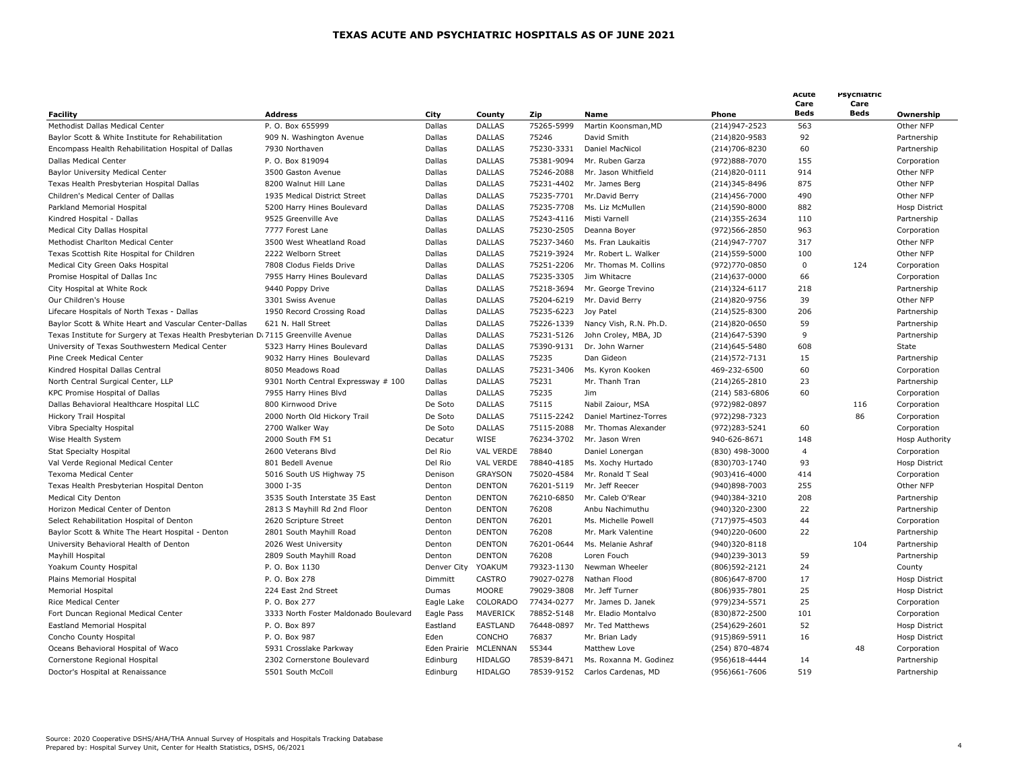|                                                                                   |                                       |              |                  |            |                                   |                    | Acute<br>Care  | Psychiatric<br>Care |                            |
|-----------------------------------------------------------------------------------|---------------------------------------|--------------|------------------|------------|-----------------------------------|--------------------|----------------|---------------------|----------------------------|
| <b>Facility</b>                                                                   | <b>Address</b>                        | City         | County           | Zip        | Name                              | Phone              | <b>Beds</b>    | Beds                | Ownership                  |
| Methodist Dallas Medical Center                                                   | P. O. Box 655999                      | Dallas       | <b>DALLAS</b>    | 75265-5999 | Martin Koonsman, MD               | (214) 947 - 2523   | 563            |                     | Other NFP                  |
| Baylor Scott & White Institute for Rehabilitation                                 | 909 N. Washington Avenue              | Dallas       | <b>DALLAS</b>    | 75246      | David Smith                       | (214)820-9583      | 92             |                     | Partnership                |
| Encompass Health Rehabilitation Hospital of Dallas                                | 7930 Northaven                        | Dallas       | <b>DALLAS</b>    | 75230-3331 | Daniel MacNicol                   | (214) 706-8230     | 60             |                     | Partnership                |
| Dallas Medical Center                                                             | P. O. Box 819094                      | Dallas       | <b>DALLAS</b>    | 75381-9094 | Mr. Ruben Garza                   | (972)888-7070      | 155            |                     | Corporation                |
| Baylor University Medical Center                                                  | 3500 Gaston Avenue                    | Dallas       | <b>DALLAS</b>    | 75246-2088 | Mr. Jason Whitfield               | (214)820-0111      | 914            |                     | Other NFP                  |
| Texas Health Presbyterian Hospital Dallas                                         | 8200 Walnut Hill Lane                 | Dallas       | <b>DALLAS</b>    | 75231-4402 | Mr. James Berg                    | (214) 345-8496     | 875            |                     | Other NFP                  |
| Children's Medical Center of Dallas                                               | 1935 Medical District Street          | Dallas       | <b>DALLAS</b>    | 75235-7701 | Mr.David Berry                    | (214) 456-7000     | 490            |                     | Other NFP                  |
| Parkland Memorial Hospital                                                        | 5200 Harry Hines Boulevard            | Dallas       | <b>DALLAS</b>    | 75235-7708 | Ms. Liz McMullen                  | (214)590-8000      | 882            |                     | <b>Hosp District</b>       |
| Kindred Hospital - Dallas                                                         | 9525 Greenville Ave                   | Dallas       | <b>DALLAS</b>    | 75243-4116 | Misti Varnell                     | (214) 355 - 2634   | 110            |                     | Partnership                |
| Medical City Dallas Hospital                                                      | 7777 Forest Lane                      | Dallas       | <b>DALLAS</b>    | 75230-2505 | Deanna Boyer                      | (972) 566-2850     | 963            |                     | Corporation                |
| Methodist Charlton Medical Center                                                 | 3500 West Wheatland Road              | Dallas       | <b>DALLAS</b>    | 75237-3460 | Ms. Fran Laukaitis                | (214) 947 - 7707   | 317            |                     | Other NFP                  |
| Texas Scottish Rite Hospital for Children                                         | 2222 Welborn Street                   | Dallas       | <b>DALLAS</b>    | 75219-3924 | Mr. Robert L. Walker              | (214) 559-5000     | 100            |                     | Other NFP                  |
| Medical City Green Oaks Hospital                                                  | 7808 Clodus Fields Drive              | Dallas       | <b>DALLAS</b>    | 75251-2206 | Mr. Thomas M. Collins             | (972)770-0850      | $\mathbf{0}$   | 124                 | Corporation                |
| Promise Hospital of Dallas Inc                                                    | 7955 Harry Hines Boulevard            | Dallas       | <b>DALLAS</b>    | 75235-3305 | Jim Whitacre                      | $(214)$ 637-0000   | 66             |                     | Corporation                |
| City Hospital at White Rock                                                       | 9440 Poppy Drive                      | Dallas       | <b>DALLAS</b>    | 75218-3694 | Mr. George Trevino                | $(214)324 - 6117$  | 218            |                     | Partnership                |
| Our Children's House                                                              | 3301 Swiss Avenue                     | Dallas       | <b>DALLAS</b>    | 75204-6219 | Mr. David Berry                   | (214)820-9756      | 39             |                     | Other NFP                  |
| Lifecare Hospitals of North Texas - Dallas                                        | 1950 Record Crossing Road             | Dallas       | <b>DALLAS</b>    | 75235-6223 | Joy Patel                         | (214) 525-8300     | 206            |                     | Partnership                |
| Baylor Scott & White Heart and Vascular Center-Dallas                             | 621 N. Hall Street                    | Dallas       | <b>DALLAS</b>    | 75226-1339 | Nancy Vish, R.N. Ph.D.            | (214)820-0650      | 59             |                     | Partnership                |
| Texas Institute for Surgery at Texas Health Presbyterian D 7115 Greenville Avenue |                                       | Dallas       | <b>DALLAS</b>    | 75231-5126 | John Croley, MBA, JD              | (214) 647 - 5390   | 9              |                     | Partnership                |
| University of Texas Southwestern Medical Center                                   | 5323 Harry Hines Boulevard            | Dallas       | <b>DALLAS</b>    | 75390-9131 | Dr. John Warner                   | (214) 645 - 5480   | 608            |                     | State                      |
| Pine Creek Medical Center                                                         | 9032 Harry Hines Boulevard            | Dallas       | <b>DALLAS</b>    | 75235      | Dan Gideon                        | $(214)572 - 7131$  | 15             |                     | Partnership                |
| Kindred Hospital Dallas Central                                                   | 8050 Meadows Road                     | Dallas       | <b>DALLAS</b>    | 75231-3406 | Ms. Kyron Kooken                  | 469-232-6500       | 60             |                     | Corporation                |
| North Central Surgical Center, LLP                                                | 9301 North Central Expressway # 100   | Dallas       | <b>DALLAS</b>    | 75231      | Mr. Thanh Tran                    | $(214)265 - 2810$  | 23             |                     | Partnership                |
| KPC Promise Hospital of Dallas                                                    | 7955 Harry Hines Blvd                 | Dallas       | <b>DALLAS</b>    | 75235      | Jim                               | $(214) 583 - 6806$ | 60             |                     | Corporation                |
| Dallas Behavioral Healthcare Hospital LLC                                         | 800 Kirnwood Drive                    | De Soto      | <b>DALLAS</b>    | 75115      | Nabil Zaiour, MSA                 | (972) 982-0897     |                | 116                 | Corporation                |
| <b>Hickory Trail Hospital</b>                                                     | 2000 North Old Hickory Trail          | De Soto      | <b>DALLAS</b>    | 75115-2242 | Daniel Martinez-Torres            | (972)298-7323      |                | 86                  | Corporation                |
| Vibra Specialty Hospital                                                          | 2700 Walker Way                       | De Soto      | <b>DALLAS</b>    | 75115-2088 | Mr. Thomas Alexander              | (972)283-5241      | 60             |                     | Corporation                |
| Wise Health System                                                                | 2000 South FM 51                      | Decatur      | WISE             | 76234-3702 | Mr. Jason Wren                    | 940-626-8671       | 148            |                     | Hosp Authority             |
| <b>Stat Specialty Hospital</b>                                                    | 2600 Veterans Blvd                    | Del Rio      | <b>VAL VERDE</b> | 78840      | Daniel Lonergan                   | (830) 498-3000     | $\overline{4}$ |                     | Corporation                |
| Val Verde Regional Medical Center                                                 | 801 Bedell Avenue                     | Del Rio      | VAL VERDE        | 78840-4185 | Ms. Xochy Hurtado                 | (830) 703 - 1740   | 93             |                     | Hosp District              |
| Texoma Medical Center                                                             | 5016 South US Highway 75              | Denison      | <b>GRAYSON</b>   | 75020-4584 | Mr. Ronald T Seal                 | (903)416-4000      | 414            |                     | Corporation                |
| Texas Health Presbyterian Hospital Denton                                         | 3000 I-35                             | Denton       | <b>DENTON</b>    | 76201-5119 | Mr. Jeff Reecer                   | (940)898-7003      | 255            |                     | Other NFP                  |
| Medical City Denton                                                               | 3535 South Interstate 35 East         | Denton       | <b>DENTON</b>    | 76210-6850 | Mr. Caleb O'Rear                  | (940)384-3210      | 208            |                     | Partnership                |
| Horizon Medical Center of Denton                                                  | 2813 S Mayhill Rd 2nd Floor           | Denton       | <b>DENTON</b>    | 76208      | Anbu Nachimuthu                   | (940)320-2300      | 22             |                     | Partnership                |
| Select Rehabilitation Hospital of Denton                                          | 2620 Scripture Street                 | Denton       | <b>DENTON</b>    | 76201      | Ms. Michelle Powell               | (717) 975-4503     | 44             |                     |                            |
| Baylor Scott & White The Heart Hospital - Denton                                  | 2801 South Mayhill Road               | Denton       | <b>DENTON</b>    | 76208      | Mr. Mark Valentine                | (940)220-0600      | 22             |                     | Corporation<br>Partnership |
|                                                                                   |                                       | Denton       | <b>DENTON</b>    | 76201-0644 |                                   | (940)320-8118      |                | 104                 |                            |
| University Behavioral Health of Denton                                            | 2026 West University                  | Denton       | <b>DENTON</b>    | 76208      | Ms. Melanie Ashraf<br>Loren Fouch | (940)239-3013      | 59             |                     | Partnership                |
| Mayhill Hospital                                                                  | 2809 South Mayhill Road               |              |                  |            |                                   |                    |                |                     | Partnership                |
| Yoakum County Hospital                                                            | P. O. Box 1130                        | Denver City  | YOAKUM           | 79323-1130 | Newman Wheeler                    | (806) 592 - 2121   | 24             |                     | County                     |
| Plains Memorial Hospital                                                          | P. O. Box 278                         | Dimmitt      | CASTRO           | 79027-0278 | Nathan Flood                      | (806) 647-8700     | 17             |                     | Hosp District              |
| <b>Memorial Hospital</b>                                                          | 224 East 2nd Street                   | Dumas        | <b>MOORE</b>     | 79029-3808 | Mr. Jeff Turner                   | (806) 935-7801     | 25             |                     | Hosp District              |
| Rice Medical Center                                                               | P. O. Box 277                         | Eagle Lake   | COLORADO         | 77434-0277 | Mr. James D. Janek                | (979)234-5571      | 25             |                     | Corporation                |
| Fort Duncan Regional Medical Center                                               | 3333 North Foster Maldonado Boulevard | Eagle Pass   | MAVERICK         | 78852-5148 | Mr. Eladio Montalvo               | (830) 872-2500     | 101            |                     | Corporation                |
| Eastland Memorial Hospital                                                        | P. O. Box 897                         | Eastland     | EASTLAND         | 76448-0897 | Mr. Ted Matthews                  | (254)629-2601      | 52             |                     | Hosp District              |
| Concho County Hospital                                                            | P. O. Box 987                         | Eden         | CONCHO           | 76837      | Mr. Brian Lady                    | (915)869-5911      | 16             |                     | Hosp District              |
| Oceans Behavioral Hospital of Waco                                                | 5931 Crosslake Parkway                | Eden Prairie | MCLENNAN         | 55344      | Matthew Love                      | (254) 870-4874     |                | 48                  | Corporation                |
| Cornerstone Regional Hospital                                                     | 2302 Cornerstone Boulevard            | Edinburg     | <b>HIDALGO</b>   | 78539-8471 | Ms. Roxanna M. Godinez            | (956)618-4444      | 14             |                     | Partnership                |
| Doctor's Hospital at Renaissance                                                  | 5501 South McColl                     | Edinburg     | <b>HIDALGO</b>   | 78539-9152 | Carlos Cardenas, MD               | (956)661-7606      | 519            |                     | Partnership                |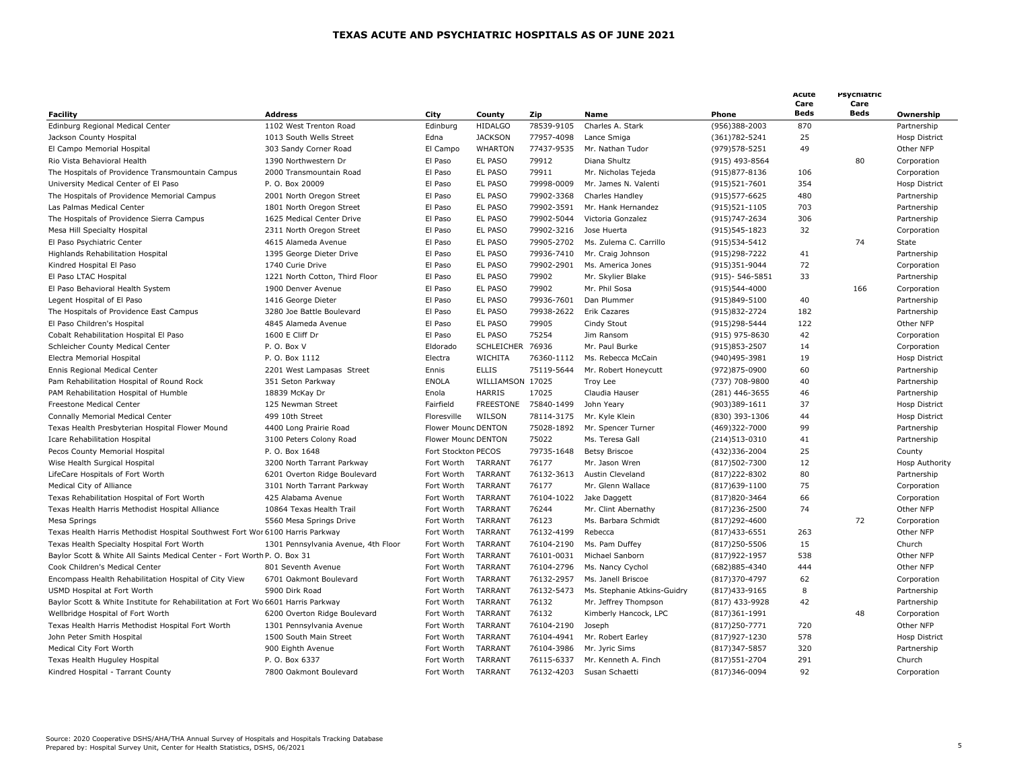| Facility                                                                         | <b>Address</b>                      | City                | County            | Zip        | Name                        | Phone                | Acute<br>Care<br><b>Beds</b> | Psychiatric<br>Care<br><b>Beds</b> | Ownership            |
|----------------------------------------------------------------------------------|-------------------------------------|---------------------|-------------------|------------|-----------------------------|----------------------|------------------------------|------------------------------------|----------------------|
| Edinburg Regional Medical Center                                                 | 1102 West Trenton Road              | Edinburg            | <b>HIDALGO</b>    | 78539-9105 | Charles A. Stark            | (956)388-2003        | 870                          |                                    | Partnership          |
| Jackson County Hospital                                                          | 1013 South Wells Street             | Edna                | <b>JACKSON</b>    | 77957-4098 | Lance Smiga                 | (361) 782 - 5241     | 25                           |                                    | <b>Hosp District</b> |
| El Campo Memorial Hospital                                                       | 303 Sandy Corner Road               | El Campo            | <b>WHARTON</b>    | 77437-9535 | Mr. Nathan Tudor            | (979) 578-5251       | 49                           |                                    | Other NFP            |
| Rio Vista Behavioral Health                                                      | 1390 Northwestern Dr                | El Paso             | <b>EL PASO</b>    | 79912      | Diana Shultz                | (915) 493-8564       |                              | 80                                 | Corporation          |
| The Hospitals of Providence Transmountain Campus                                 | 2000 Transmountain Road             | El Paso             | EL PASO           | 79911      | Mr. Nicholas Tejeda         | (915) 877-8136       | 106                          |                                    | Corporation          |
| University Medical Center of El Paso                                             | P. O. Box 20009                     | El Paso             | EL PASO           | 79998-0009 | Mr. James N. Valenti        | $(915)521 - 7601$    | 354                          |                                    | Hosp District        |
| The Hospitals of Providence Memorial Campus                                      | 2001 North Oregon Street            | El Paso             | <b>EL PASO</b>    | 79902-3368 | Charles Handley             | (915) 577-6625       | 480                          |                                    | Partnership          |
| Las Palmas Medical Center                                                        | 1801 North Oregon Street            | El Paso             | EL PASO           | 79902-3591 | Mr. Hank Hernandez          |                      | 703                          |                                    | Partnership          |
|                                                                                  | 1625 Medical Center Drive           |                     | EL PASO           | 79902-5044 | Victoria Gonzalez           | $(915)521-1105$      | 306                          |                                    |                      |
| The Hospitals of Providence Sierra Campus                                        |                                     | El Paso             |                   |            |                             | (915) 747 - 2634     |                              |                                    | Partnership          |
| Mesa Hill Specialty Hospital                                                     | 2311 North Oregon Street            | El Paso             | EL PASO           | 79902-3216 | Jose Huerta                 | (915) 545-1823       | 32                           |                                    | Corporation          |
| El Paso Psychiatric Center                                                       | 4615 Alameda Avenue                 | El Paso             | EL PASO           | 79905-2702 | Ms. Zulema C. Carrillo      | (915) 534-5412       |                              | 74                                 | State                |
| Highlands Rehabilitation Hospital                                                | 1395 George Dieter Drive            | El Paso             | <b>EL PASO</b>    | 79936-7410 | Mr. Craig Johnson           | (915)298-7222        | 41                           |                                    | Partnership          |
| Kindred Hospital El Paso                                                         | 1740 Curie Drive                    | El Paso             | EL PASO           | 79902-2901 | Ms. America Jones           | (915)351-9044        | 72                           |                                    | Corporation          |
| El Paso LTAC Hospital                                                            | 1221 North Cotton, Third Floor      | El Paso             | <b>EL PASO</b>    | 79902      | Mr. Skylier Blake           | $(915) - 546 - 5851$ | 33                           |                                    | Partnership          |
| El Paso Behavioral Health System                                                 | 1900 Denver Avenue                  | El Paso             | EL PASO           | 79902      | Mr. Phil Sosa               | (915)544-4000        |                              | 166                                | Corporation          |
| Legent Hospital of El Paso                                                       | 1416 George Dieter                  | El Paso             | <b>EL PASO</b>    | 79936-7601 | Dan Plummer                 | (915)849-5100        | 40                           |                                    | Partnership          |
| The Hospitals of Providence East Campus                                          | 3280 Joe Battle Boulevard           | El Paso             | EL PASO           | 79938-2622 | Erik Cazares                | (915)832-2724        | 182                          |                                    | Partnership          |
| El Paso Children's Hospital                                                      | 4845 Alameda Avenue                 | El Paso             | EL PASO           | 79905      | Cindy Stout                 | (915)298-5444        | 122                          |                                    | Other NFP            |
| Cobalt Rehabilitation Hospital El Paso                                           | 1600 E Cliff Dr                     | El Paso             | <b>EL PASO</b>    | 75254      | Jim Ransom                  | (915) 975-8630       | 42                           |                                    | Corporation          |
| Schleicher County Medical Center                                                 | P.O. Box V                          | Eldorado            | <b>SCHLEICHER</b> | 76936      | Mr. Paul Burke              | $(915)853 - 2507$    | 14                           |                                    | Corporation          |
| Electra Memorial Hospital                                                        | P. O. Box 1112                      | Electra             | <b>WICHITA</b>    | 76360-1112 | Ms. Rebecca McCain          | (940)495-3981        | 19                           |                                    | <b>Hosp District</b> |
| Ennis Regional Medical Center                                                    | 2201 West Lampasas Street           | Ennis               | <b>ELLIS</b>      | 75119-5644 | Mr. Robert Honeycutt        | (972)875-0900        | 60                           |                                    | Partnership          |
| Pam Rehabilitation Hospital of Round Rock                                        | 351 Seton Parkway                   | <b>ENOLA</b>        | WILLIAMSON 17025  |            | Troy Lee                    | (737) 708-9800       | 40                           |                                    | Partnership          |
| PAM Rehabilitation Hospital of Humble                                            | 18839 McKay Dr                      | Enola               | <b>HARRIS</b>     | 17025      | Claudia Hauser              | (281) 446-3655       | 46                           |                                    | Partnership          |
| Freestone Medical Center                                                         | 125 Newman Street                   | Fairfield           | <b>FREESTONE</b>  | 75840-1499 | John Yeary                  | (903)389-1611        | 37                           |                                    | <b>Hosp District</b> |
| Connally Memorial Medical Center                                                 | 499 10th Street                     | Floresville         | WILSON            | 78114-3175 | Mr. Kyle Klein              | (830) 393-1306       | 44                           |                                    | Hosp District        |
| Texas Health Presbyterian Hospital Flower Mound                                  | 4400 Long Prairie Road              | Flower Mounc DENTON |                   | 75028-1892 | Mr. Spencer Turner          | (469)322-7000        | 99                           |                                    | Partnership          |
| Icare Rehabilitation Hospital                                                    | 3100 Peters Colony Road             | Flower Mounc DENTON |                   | 75022      | Ms. Teresa Gall             | (214) 513-0310       | 41                           |                                    | Partnership          |
| Pecos County Memorial Hospital                                                   | P. O. Box 1648                      | Fort Stockton PECOS |                   | 79735-1648 | <b>Betsy Briscoe</b>        | (432)336-2004        | 25                           |                                    | County               |
| Wise Health Surgical Hospital                                                    | 3200 North Tarrant Parkway          | Fort Worth TARRANT  |                   | 76177      | Mr. Jason Wren              | (817)502-7300        | 12                           |                                    | Hosp Authority       |
| LifeCare Hospitals of Fort Worth                                                 | 6201 Overton Ridge Boulevard        | Fort Worth          | <b>TARRANT</b>    | 76132-3613 | Austin Cleveland            | $(817)222 - 8302$    | 80                           |                                    | Partnership          |
| Medical City of Alliance                                                         | 3101 North Tarrant Parkway          | Fort Worth          | <b>TARRANT</b>    | 76177      | Mr. Glenn Wallace           | $(817)639 - 1100$    | 75                           |                                    | Corporation          |
| Texas Rehabilitation Hospital of Fort Worth                                      | 425 Alabama Avenue                  | Fort Worth          | <b>TARRANT</b>    | 76104-1022 | Jake Daggett                | (817) 820 - 3464     | 66                           |                                    | Corporation          |
| Texas Health Harris Methodist Hospital Alliance                                  | 10864 Texas Health Trail            | Fort Worth          | <b>TARRANT</b>    | 76244      | Mr. Clint Abernathy         | $(817)236 - 2500$    | 74                           |                                    | Other NFP            |
| Mesa Springs                                                                     | 5560 Mesa Springs Drive             | Fort Worth          | <b>TARRANT</b>    | 76123      | Ms. Barbara Schmidt         | $(817)$ 292-4600     |                              | 72                                 | Corporation          |
| Texas Health Harris Methodist Hospital Southwest Fort Wor 6100 Harris Parkway    |                                     | Fort Worth          | <b>TARRANT</b>    | 76132-4199 | Rebecca                     | $(817)433 - 6551$    | 263                          |                                    | Other NFP            |
| Texas Health Specialty Hospital Fort Worth                                       | 1301 Pennsylvania Avenue, 4th Floor | Fort Worth          | <b>TARRANT</b>    | 76104-2190 | Ms. Pam Duffey              | $(817)250 - 5506$    | 15                           |                                    | Church               |
| Baylor Scott & White All Saints Medical Center - Fort Worth P. O. Box 31         |                                     | Fort Worth          | <b>TARRANT</b>    | 76101-0031 | Michael Sanborn             | (817) 922 - 1957     | 538                          |                                    | Other NFP            |
| Cook Children's Medical Center                                                   | 801 Seventh Avenue                  | Fort Worth          | <b>TARRANT</b>    | 76104-2796 | Ms. Nancy Cychol            | (682)885-4340        | 444                          |                                    | Other NFP            |
|                                                                                  |                                     |                     | <b>TARRANT</b>    |            |                             |                      |                              |                                    |                      |
| Encompass Health Rehabilitation Hospital of City View                            | 6701 Oakmont Boulevard              | Fort Worth          |                   | 76132-2957 | Ms. Janell Briscoe          | (817) 370-4797       | 62                           |                                    | Corporation          |
| USMD Hospital at Fort Worth                                                      | 5900 Dirk Road                      | Fort Worth          | <b>TARRANT</b>    | 76132-5473 | Ms. Stephanie Atkins-Guidry | (817) 433-9165       | 8                            |                                    | Partnership          |
| Baylor Scott & White Institute for Rehabilitation at Fort Wo 6601 Harris Parkway |                                     | Fort Worth          | <b>TARRANT</b>    | 76132      | Mr. Jeffrey Thompson        | (817) 433-9928       | 42                           |                                    | Partnership          |
| Wellbridge Hospital of Fort Worth                                                | 6200 Overton Ridge Boulevard        | Fort Worth          | <b>TARRANT</b>    | 76132      | Kimberly Hancock, LPC       | $(817)361 - 1991$    |                              | 48                                 | Corporation          |
| Texas Health Harris Methodist Hospital Fort Worth                                | 1301 Pennsylvania Avenue            | Fort Worth          | <b>TARRANT</b>    | 76104-2190 | Joseph                      | $(817)250 - 7771$    | 720                          |                                    | Other NFP            |
| John Peter Smith Hospital                                                        | 1500 South Main Street              | Fort Worth          | <b>TARRANT</b>    | 76104-4941 | Mr. Robert Earley           | (817) 927 - 1230     | 578                          |                                    | Hosp District        |
| Medical City Fort Worth                                                          | 900 Eighth Avenue                   | Fort Worth          | <b>TARRANT</b>    | 76104-3986 | Mr. Jyric Sims              | (817) 347-5857       | 320                          |                                    | Partnership          |
| Texas Health Huguley Hospital                                                    | P. O. Box 6337                      | Fort Worth          | <b>TARRANT</b>    | 76115-6337 | Mr. Kenneth A. Finch        | (817) 551 - 2704     | 291                          |                                    | Church               |
| Kindred Hospital - Tarrant County                                                | 7800 Oakmont Boulevard              | Fort Worth          | <b>TARRANT</b>    | 76132-4203 | Susan Schaetti              | (817)346-0094        | 92                           |                                    | Corporation          |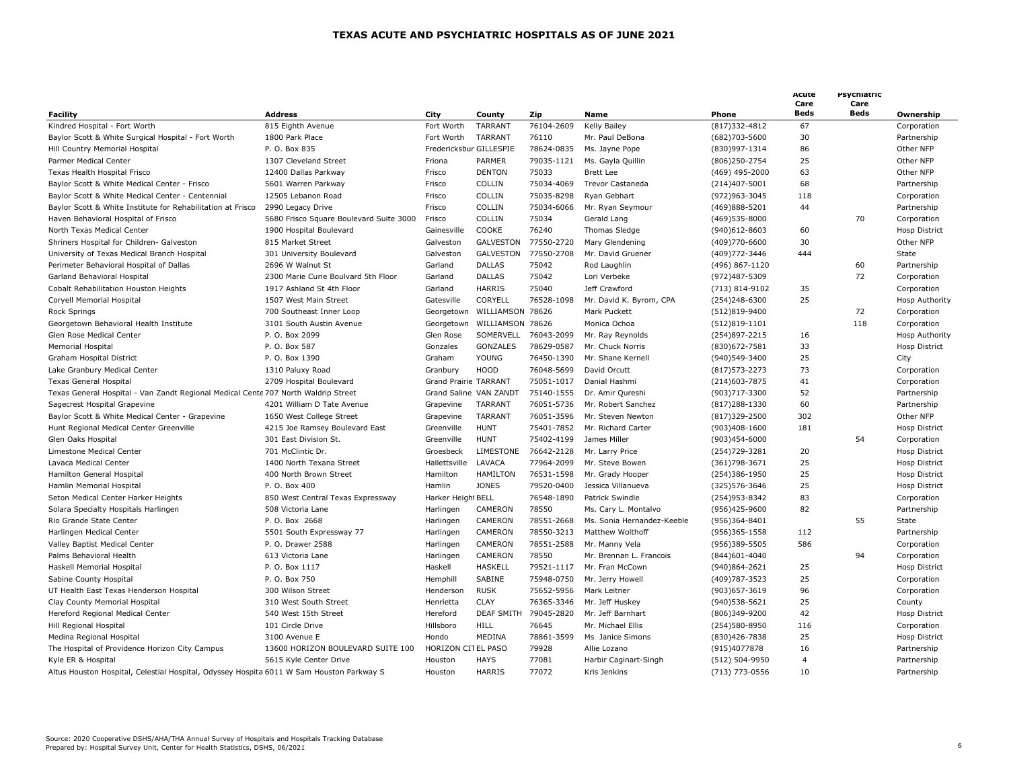|                                                                                          |                                         |                         |                   |            |                            |                   | Acute<br>Care<br><b>Beds</b> | Psychiatric<br>Care<br><b>Beds</b> |                       |
|------------------------------------------------------------------------------------------|-----------------------------------------|-------------------------|-------------------|------------|----------------------------|-------------------|------------------------------|------------------------------------|-----------------------|
| <b>Facility</b>                                                                          | <b>Address</b>                          | City                    | County            | Zip        | Name                       | Phone             |                              |                                    | Ownership             |
| Kindred Hospital - Fort Worth                                                            | 815 Eighth Avenue                       | Fort Worth              | TARRANT           | 76104-2609 | <b>Kelly Bailey</b>        | (817)332-4812     | 67                           |                                    | Corporation           |
| Baylor Scott & White Surgical Hospital - Fort Worth                                      | 1800 Park Place                         | Fort Worth              | TARRANT           | 76110      | Mr. Paul DeBona            | (682)703-5600     | 30                           |                                    | Partnership           |
| Hill Country Memorial Hospital                                                           | P. O. Box 835                           | Fredericksbur GILLESPIE |                   | 78624-0835 | Ms. Jayne Pope             | (830)997-1314     | 86                           |                                    | Other NFP             |
| Parmer Medical Center                                                                    | 1307 Cleveland Street                   | Friona                  | PARMER            | 79035-1121 | Ms. Gayla Quillin          | (806)250-2754     | 25                           |                                    | Other NFP             |
| Texas Health Hospital Frisco                                                             | 12400 Dallas Parkway                    | Frisco                  | <b>DENTON</b>     | 75033      | <b>Brett Lee</b>           | (469) 495-2000    | 63                           |                                    | Other NFP             |
| Baylor Scott & White Medical Center - Frisco                                             | 5601 Warren Parkway                     | Frisco                  | COLLIN            | 75034-4069 | Trevor Castaneda           | (214)407-5001     | 68                           |                                    | Partnership           |
| Baylor Scott & White Medical Center - Centennial                                         | 12505 Lebanon Road                      | Frisco                  | COLLIN            | 75035-8298 | Ryan Gebhart               | (972) 963 - 3045  | 118                          |                                    | Corporation           |
| Baylor Scott & White Institute for Rehabilitation at Frisco                              | 2990 Legacy Drive                       | Frisco                  | COLLIN            | 75034-6066 | Mr. Ryan Seymour           | (469)888-5201     | 44                           |                                    | Partnership           |
| Haven Behavioral Hospital of Frisco                                                      | 5680 Frisco Square Boulevard Suite 3000 | Frisco                  | COLLIN            | 75034      | Gerald Lang                | (469) 535-8000    |                              | 70                                 | Corporation           |
| North Texas Medical Center                                                               | 1900 Hospital Boulevard                 | Gainesville             | COOKE             | 76240      | Thomas Sledge              | (940)612-8603     | 60                           |                                    | <b>Hosp District</b>  |
| Shriners Hospital for Children- Galveston                                                | 815 Market Street                       | Galveston               | GALVESTON         | 77550-2720 | Mary Glendening            | (409)770-6600     | 30                           |                                    | Other NFP             |
| University of Texas Medical Branch Hospital                                              | 301 University Boulevard                | Galveston               | <b>GALVESTON</b>  | 77550-2708 | Mr. David Gruener          | (409) 772 - 3446  | 444                          |                                    | State                 |
| Perimeter Behavioral Hospital of Dallas                                                  | 2696 W Walnut St                        | Garland                 | <b>DALLAS</b>     | 75042      | Rod Laughlin               | (496) 867-1120    |                              | 60                                 | Partnership           |
| Garland Behavioral Hospital                                                              | 2300 Marie Curie Boulvard 5th Floor     | Garland                 | <b>DALLAS</b>     | 75042      | Lori Verbeke               | (972)487-5309     |                              | 72                                 | Corporation           |
| Cobalt Rehabilitation Houston Heights                                                    | 1917 Ashland St 4th Floor               | Garland                 | HARRIS            | 75040      | Jeff Crawford              | (713) 814-9102    | 35                           |                                    | Corporation           |
| Coryell Memorial Hospital                                                                | 1507 West Main Street                   | Gatesville              | CORYELL           | 76528-1098 | Mr. David K. Byrom, CPA    | (254)248-6300     | 25                           |                                    | Hosp Authority        |
| Rock Springs                                                                             | 700 Southeast Inner Loop                | Georgetown              | WILLIAMSON 78626  |            | Mark Puckett               | (512)819-9400     |                              | 72                                 | Corporation           |
| Georgetown Behavioral Health Institute                                                   | 3101 South Austin Avenue                | Georgetown              | WILLIAMSON 78626  |            | Monica Ochoa               | $(512)819-1101$   |                              | 118                                | Corporation           |
| Glen Rose Medical Center                                                                 | P. O. Box 2099                          | Glen Rose               | SOMERVELL         | 76043-2099 | Mr. Ray Reynolds           | (254)897-2215     | 16                           |                                    | <b>Hosp Authority</b> |
| Memorial Hospital                                                                        | P. O. Box 587                           | Gonzales                | <b>GONZALES</b>   | 78629-0587 | Mr. Chuck Norris           | (830) 672-7581    | 33                           |                                    | Hosp District         |
| Graham Hospital District                                                                 | P. O. Box 1390                          | Graham                  | <b>YOUNG</b>      | 76450-1390 | Mr. Shane Kernell          | (940)549-3400     | 25                           |                                    | City                  |
| Lake Granbury Medical Center                                                             | 1310 Paluxy Road                        | Granbury                | <b>HOOD</b>       | 76048-5699 | David Orcutt               | $(817)573 - 2273$ | 73                           |                                    | Corporation           |
| <b>Texas General Hospital</b>                                                            | 2709 Hospital Boulevard                 | Grand Prairie TARRANT   |                   | 75051-1017 | Danial Hashmi              | (214) 603 - 7875  | 41                           |                                    | Corporation           |
| Texas General Hospital - Van Zandt Regional Medical Cente 707 North Waldrip Street       |                                         | Grand Saline VAN ZANDT  |                   | 75140-1555 | Dr. Amir Qureshi           | (903)717-3300     | 52                           |                                    | Partnership           |
| Sagecrest Hospital Grapevine                                                             | 4201 William D Tate Avenue              | Grapevine               | TARRANT           | 76051-5736 | Mr. Robert Sanchez         | $(817)288 - 1330$ | 60                           |                                    | Partnership           |
| Baylor Scott & White Medical Center - Grapevine                                          | 1650 West College Street                | Grapevine               | <b>TARRANT</b>    | 76051-3596 | Mr. Steven Newton          | (817)329-2500     | 302                          |                                    | Other NFP             |
| Hunt Regional Medical Center Greenville                                                  | 4215 Joe Ramsey Boulevard East          | Greenville              | <b>HUNT</b>       | 75401-7852 | Mr. Richard Carter         | (903)408-1600     | 181                          |                                    | Hosp District         |
| Glen Oaks Hospital                                                                       | 301 East Division St.                   | Greenville              | <b>HUNT</b>       | 75402-4199 | James Miller               | (903)454-6000     |                              | 54                                 | Corporation           |
| Limestone Medical Center                                                                 | 701 McClintic Dr.                       | Groesbeck               | LIMESTONE         | 76642-2128 | Mr. Larry Price            | (254) 729-3281    | 20                           |                                    | <b>Hosp District</b>  |
| Lavaca Medical Center                                                                    | 1400 North Texana Street                | Hallettsville           | LAVACA            | 77964-2099 | Mr. Steve Bowen            | (361) 798 - 3671  | 25                           |                                    | <b>Hosp District</b>  |
| Hamilton General Hospital                                                                | 400 North Brown Street                  | Hamilton                | <b>HAMILTON</b>   | 76531-1598 | Mr. Grady Hooper           | (254)386-1950     | 25                           |                                    | <b>Hosp District</b>  |
| Hamlin Memorial Hospital                                                                 | P. O. Box 400                           | Hamlin                  | <b>JONES</b>      | 79520-0400 | Jessica Villanueva         | (325) 576-3646    | 25                           |                                    | Hosp District         |
| Seton Medical Center Harker Heights                                                      | 850 West Central Texas Expressway       | Harker Height BELL      |                   | 76548-1890 | Patrick Swindle            | (254) 953-8342    | 83                           |                                    | Corporation           |
|                                                                                          | 508 Victoria Lane                       | Harlingen               | CAMERON           | 78550      | Ms. Cary L. Montalvo       | (956)425-9600     | 82                           |                                    | Partnership           |
| Solara Specialty Hospitals Harlingen                                                     | P. O. Box 2668                          |                         | CAMERON           | 78551-2668 | Ms. Sonia Hernandez-Keeble |                   |                              | 55                                 |                       |
| Rio Grande State Center                                                                  |                                         | Harlingen               | CAMERON           | 78550-3213 | Matthew Wolthoff           | (956)364-8401     | 112                          |                                    | State                 |
| Harlingen Medical Center                                                                 | 5501 South Expressway 77                | Harlingen               |                   |            |                            | (956)365-1558     | 586                          |                                    | Partnership           |
| Valley Baptist Medical Center                                                            | P. O. Drawer 2588                       | Harlingen               | CAMERON           | 78551-2588 | Mr. Manny Vela             | (956)389-5505     |                              |                                    | Corporation           |
| Palms Behavioral Health                                                                  | 613 Victoria Lane                       | Harlingen               | CAMERON           | 78550      | Mr. Brennan L. Francois    | (844) 601-4040    |                              | 94                                 | Corporation           |
| Haskell Memorial Hospital                                                                | P. O. Box 1117                          | Haskell                 | <b>HASKELL</b>    | 79521-1117 | Mr. Fran McCown            | (940)864-2621     | 25                           |                                    | <b>Hosp District</b>  |
| Sabine County Hospital                                                                   | P. O. Box 750                           | Hemphill                | SABINE            | 75948-0750 | Mr. Jerry Howell           | (409) 787 - 3523  | 25                           |                                    | Corporation           |
| UT Health East Texas Henderson Hospital                                                  | 300 Wilson Street                       | Henderson               | <b>RUSK</b>       | 75652-5956 | Mark Leitner               | (903) 657 - 3619  | 96                           |                                    | Corporation           |
| Clay County Memorial Hospital                                                            | 310 West South Street                   | Henrietta               | <b>CLAY</b>       | 76365-3346 | Mr. Jeff Huskey            | (940) 538-5621    | 25                           |                                    | County                |
| Hereford Regional Medical Center                                                         | 540 West 15th Street                    | Hereford                | <b>DEAF SMITH</b> | 79045-2820 | Mr. Jeff Barnhart          | (806)349-9200     | 42                           |                                    | Hosp District         |
| Hill Regional Hospital                                                                   | 101 Circle Drive                        | Hillsboro               | HILL              | 76645      | Mr. Michael Ellis          | (254)580-8950     | 116                          |                                    | Corporation           |
| Medina Regional Hospital                                                                 | 3100 Avenue E                           | Hondo                   | MEDINA            | 78861-3599 | Ms Janice Simons           | (830) 426 - 7838  | 25                           |                                    | Hosp District         |
| The Hospital of Providence Horizon City Campus                                           | 13600 HORIZON BOULEVARD SUITE 100       | HORIZON CITEL PASO      |                   | 79928      | Allie Lozano               | (915)4077878      | 16                           |                                    | Partnership           |
| Kyle ER & Hospital                                                                       | 5615 Kyle Center Drive                  | Houston                 | <b>HAYS</b>       | 77081      | Harbir Caginart-Singh      | (512) 504-9950    | 4                            |                                    | Partnership           |
| Altus Houston Hospital, Celestial Hospital, Odyssey Hospita 6011 W Sam Houston Parkway S |                                         | Houston                 | <b>HARRIS</b>     | 77072      | Kris Jenkins               | (713) 773-0556    | 10                           |                                    | Partnership           |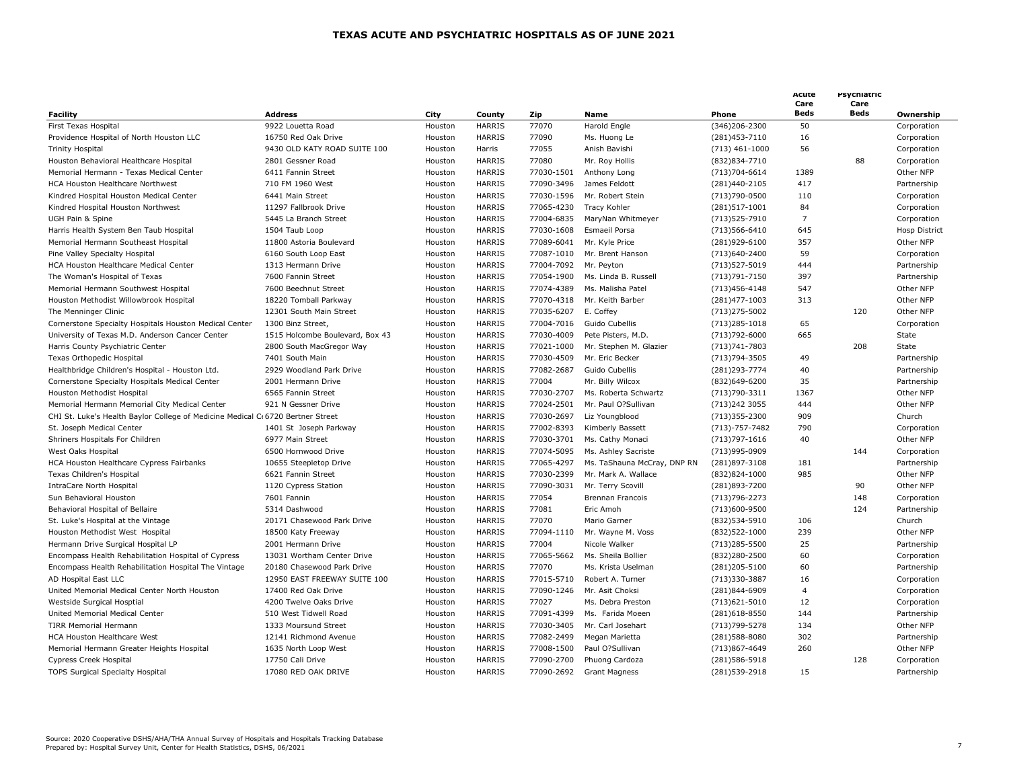|                                                                                |                                 |         |               |            |                             |                                  | Acute<br>Care  | Psychiatric<br>Care |                            |
|--------------------------------------------------------------------------------|---------------------------------|---------|---------------|------------|-----------------------------|----------------------------------|----------------|---------------------|----------------------------|
| <b>Facility</b>                                                                | <b>Address</b>                  | City    | County        | Zip        | Name                        | Phone                            | <b>Beds</b>    | <b>Beds</b>         | Ownership                  |
| First Texas Hospital                                                           | 9922 Louetta Road               | Houston | <b>HARRIS</b> | 77070      | Harold Engle                | (346)206-2300                    | 50             |                     | Corporation                |
| Providence Hospital of North Houston LLC                                       | 16750 Red Oak Drive             | Houston | <b>HARRIS</b> | 77090      | Ms. Huong Le                | (281)453-7110                    | 16             |                     | Corporation                |
| <b>Trinity Hospital</b>                                                        | 9430 OLD KATY ROAD SUITE 100    | Houston | Harris        | 77055      | Anish Bavishi               | $(713)$ 461-1000                 | 56             |                     | Corporation                |
| Houston Behavioral Healthcare Hospital                                         | 2801 Gessner Road               | Houston | <b>HARRIS</b> | 77080      | Mr. Roy Hollis              | (832)834-7710                    |                | 88                  | Corporation                |
| Memorial Hermann - Texas Medical Center                                        | 6411 Fannin Street              | Houston | <b>HARRIS</b> | 77030-1501 | Anthony Long                | $(713)704 - 6614$                | 1389           |                     | Other NFP                  |
| HCA Houston Healthcare Northwest                                               | 710 FM 1960 West                | Houston | <b>HARRIS</b> | 77090-3496 | James Feldott               | (281)440-2105                    | 417            |                     | Partnership                |
| Kindred Hospital Houston Medical Center                                        | 6441 Main Street                | Houston | <b>HARRIS</b> | 77030-1596 | Mr. Robert Stein            | (713)790-0500                    | 110            |                     | Corporation                |
| Kindred Hospital Houston Northwest                                             | 11297 Fallbrook Drive           | Houston | <b>HARRIS</b> | 77065-4230 | Tracy Kohler                | (281)517-1001                    | 84             |                     | Corporation                |
| UGH Pain & Spine                                                               | 5445 La Branch Street           | Houston | <b>HARRIS</b> | 77004-6835 | MaryNan Whitmeyer           | (713) 525 - 7910                 | $\overline{7}$ |                     | Corporation                |
| Harris Health System Ben Taub Hospital                                         | 1504 Taub Loop                  | Houston | <b>HARRIS</b> | 77030-1608 | Esmaeil Porsa               | (713) 566-6410                   | 645            |                     | <b>Hosp District</b>       |
| Memorial Hermann Southeast Hospital                                            | 11800 Astoria Boulevard         | Houston | <b>HARRIS</b> | 77089-6041 | Mr. Kyle Price              | (281)929-6100                    | 357            |                     | Other NFP                  |
| Pine Valley Specialty Hospital                                                 | 6160 South Loop East            | Houston | <b>HARRIS</b> | 77087-1010 | Mr. Brent Hanson            | (713)640-2400                    | 59             |                     | Corporation                |
| HCA Houston Healthcare Medical Center                                          | 1313 Hermann Drive              | Houston | <b>HARRIS</b> | 77004-7092 | Mr. Peyton                  | (713) 527-5019                   | 444            |                     | Partnership                |
| The Woman's Hospital of Texas                                                  | 7600 Fannin Street              | Houston | <b>HARRIS</b> | 77054-1900 | Ms. Linda B. Russell        | (713) 791 - 7150                 | 397            |                     | Partnership                |
| Memorial Hermann Southwest Hospital                                            | 7600 Beechnut Street            | Houston | <b>HARRIS</b> | 77074-4389 | Ms. Malisha Patel           | (713) 456-4148                   | 547            |                     | Other NFP                  |
| Houston Methodist Willowbrook Hospital                                         | 18220 Tomball Parkway           | Houston | <b>HARRIS</b> | 77070-4318 | Mr. Keith Barber            | (281)477-1003                    | 313            |                     | Other NFP                  |
| The Menninger Clinic                                                           | 12301 South Main Street         | Houston | <b>HARRIS</b> | 77035-6207 | E. Coffey                   | (713) 275-5002                   |                | 120                 | Other NFP                  |
| Cornerstone Specialty Hospitals Houston Medical Center                         | 1300 Binz Street,               | Houston | <b>HARRIS</b> | 77004-7016 | Guido Cubellis              | $(713)285 - 1018$                | 65             |                     | Corporation                |
| University of Texas M.D. Anderson Cancer Center                                | 1515 Holcombe Boulevard, Box 43 | Houston | <b>HARRIS</b> | 77030-4009 | Pete Pisters, M.D.          | (713) 792-6000                   | 665            |                     | State                      |
| Harris County Psychiatric Center                                               | 2800 South MacGregor Way        | Houston | <b>HARRIS</b> | 77021-1000 | Mr. Stephen M. Glazier      | (713) 741 - 7803                 |                | 208                 | State                      |
| Texas Orthopedic Hospital                                                      | 7401 South Main                 | Houston | <b>HARRIS</b> | 77030-4509 | Mr. Eric Becker             | (713) 794-3505                   | 49             |                     | Partnership                |
| Healthbridge Children's Hospital - Houston Ltd.                                | 2929 Woodland Park Drive        | Houston | <b>HARRIS</b> | 77082-2687 | Guido Cubellis              | (281) 293-7774                   | 40             |                     | Partnership                |
| Cornerstone Specialty Hospitals Medical Center                                 | 2001 Hermann Drive              | Houston | <b>HARRIS</b> | 77004      | Mr. Billy Wilcox            | (832)649-6200                    | 35             |                     | Partnership                |
| Houston Methodist Hospital                                                     | 6565 Fannin Street              | Houston | <b>HARRIS</b> | 77030-2707 | Ms. Roberta Schwartz        | (713) 790 - 3311                 | 1367           |                     | Other NFP                  |
| Memorial Hermann Memorial City Medical Center                                  | 921 N Gessner Drive             | Houston | <b>HARRIS</b> | 77024-2501 | Mr. Paul O?Sullivan         | (713) 242 3055                   | 444            |                     | Other NFP                  |
| CHI St. Luke's Health Baylor College of Medicine Medical C 6720 Bertner Street |                                 | Houston | <b>HARRIS</b> | 77030-2697 | Liz Youngblood              | (713)355-2300                    | 909            |                     | Church                     |
| St. Joseph Medical Center                                                      | 1401 St Joseph Parkway          | Houston | <b>HARRIS</b> | 77002-8393 | Kimberly Bassett            | $(713) - 757 - 7482$             | 790            |                     | Corporation                |
| Shriners Hospitals For Children                                                | 6977 Main Street                | Houston | <b>HARRIS</b> | 77030-3701 | Ms. Cathy Monaci            | (713) 797-1616                   | 40             |                     | Other NFP                  |
| West Oaks Hospital                                                             | 6500 Hornwood Drive             | Houston | <b>HARRIS</b> | 77074-5095 | Ms. Ashley Sacriste         | (713)995-0909                    |                | 144                 | Corporation                |
| HCA Houston Healthcare Cypress Fairbanks                                       | 10655 Steepletop Drive          | Houston | <b>HARRIS</b> | 77065-4297 | Ms. TaShauna McCray, DNP RN | (281)897-3108                    | 181            |                     | Partnership                |
| Texas Children's Hospital                                                      | 6621 Fannin Street              | Houston | <b>HARRIS</b> | 77030-2399 | Mr. Mark A. Wallace         | (832)824-1000                    | 985            |                     | Other NFP                  |
| IntraCare North Hospital                                                       | 1120 Cypress Station            | Houston | HARRIS        | 77090-3031 | Mr. Terry Scovill           | (281)893-7200                    |                | 90                  | Other NFP                  |
| Sun Behavioral Houston                                                         | 7601 Fannin                     | Houston | <b>HARRIS</b> | 77054      | <b>Brennan Francois</b>     | (713) 796 - 2273                 |                | 148                 | Corporation                |
| Behavioral Hospital of Bellaire                                                | 5314 Dashwood                   | Houston | <b>HARRIS</b> | 77081      | Eric Amoh                   | (713)600-9500                    |                | 124                 | Partnership                |
| St. Luke's Hospital at the Vintage                                             | 20171 Chasewood Park Drive      | Houston | <b>HARRIS</b> | 77070      | Mario Garner                | (832) 534-5910                   | 106            |                     | Church                     |
| Houston Methodist West Hospital                                                | 18500 Katy Freeway              | Houston | <b>HARRIS</b> | 77094-1110 | Mr. Wayne M. Voss           | (832) 522-1000                   | 239            |                     | Other NFP                  |
| Hermann Drive Surgical Hospital LP                                             | 2001 Hermann Drive              | Houston | <b>HARRIS</b> | 77004      | Nicole Walker               | (713)285-5500                    | 25             |                     | Partnership                |
| Encompass Health Rehabilitation Hospital of Cypress                            | 13031 Wortham Center Drive      | Houston | <b>HARRIS</b> | 77065-5662 | Ms. Sheila Bollier          | (832)280-2500                    | 60             |                     | Corporation                |
| Encompass Health Rehabilitation Hospital The Vintage                           | 20180 Chasewood Park Drive      | Houston | <b>HARRIS</b> | 77070      | Ms. Krista Uselman          | (281)205-5100                    | 60             |                     | Partnership                |
| AD Hospital East LLC                                                           | 12950 EAST FREEWAY SUITE 100    | Houston | <b>HARRIS</b> | 77015-5710 | Robert A. Turner            | (713)330-3887                    | 16             |                     | Corporation                |
| United Memorial Medical Center North Houston                                   | 17400 Red Oak Drive             | Houston | <b>HARRIS</b> | 77090-1246 | Mr. Asit Choksi             | (281)844-6909                    | 4              |                     | Corporation                |
| Westside Surgical Hosptial                                                     | 4200 Twelve Oaks Drive          | Houston | <b>HARRIS</b> | 77027      | Ms. Debra Preston           | (713) 621-5010                   | 12             |                     | Corporation                |
| United Memorial Medical Center                                                 | 510 West Tidwell Road           | Houston | <b>HARRIS</b> | 77091-4399 | Ms. Farida Moeen            | (281)618-8550                    | 144            |                     | Partnership                |
| <b>TIRR Memorial Hermann</b>                                                   | 1333 Moursund Street            | Houston | <b>HARRIS</b> | 77030-3405 | Mr. Carl Josehart           | (713) 799-5278                   | 134            |                     | Other NFP                  |
| HCA Houston Healthcare West                                                    | 12141 Richmond Avenue           | Houston | <b>HARRIS</b> | 77082-2499 | Megan Marietta              | (281) 588-8080                   | 302            |                     | Partnership                |
| Memorial Hermann Greater Heights Hospital                                      | 1635 North Loop West            | Houston | <b>HARRIS</b> | 77008-1500 | Paul O?Sullivan             | (713)867-4649                    | 260            |                     | Other NFP                  |
|                                                                                | 17750 Cali Drive                | Houston | <b>HARRIS</b> | 77090-2700 |                             |                                  |                | 128                 |                            |
| Cypress Creek Hospital                                                         | 17080 RED OAK DRIVE             | Houston | <b>HARRIS</b> | 77090-2692 | Phuong Cardoza              | (281) 586-5918<br>(281) 539-2918 | 15             |                     | Corporation<br>Partnership |
| TOPS Surgical Specialty Hospital                                               |                                 |         |               |            | <b>Grant Magness</b>        |                                  |                |                     |                            |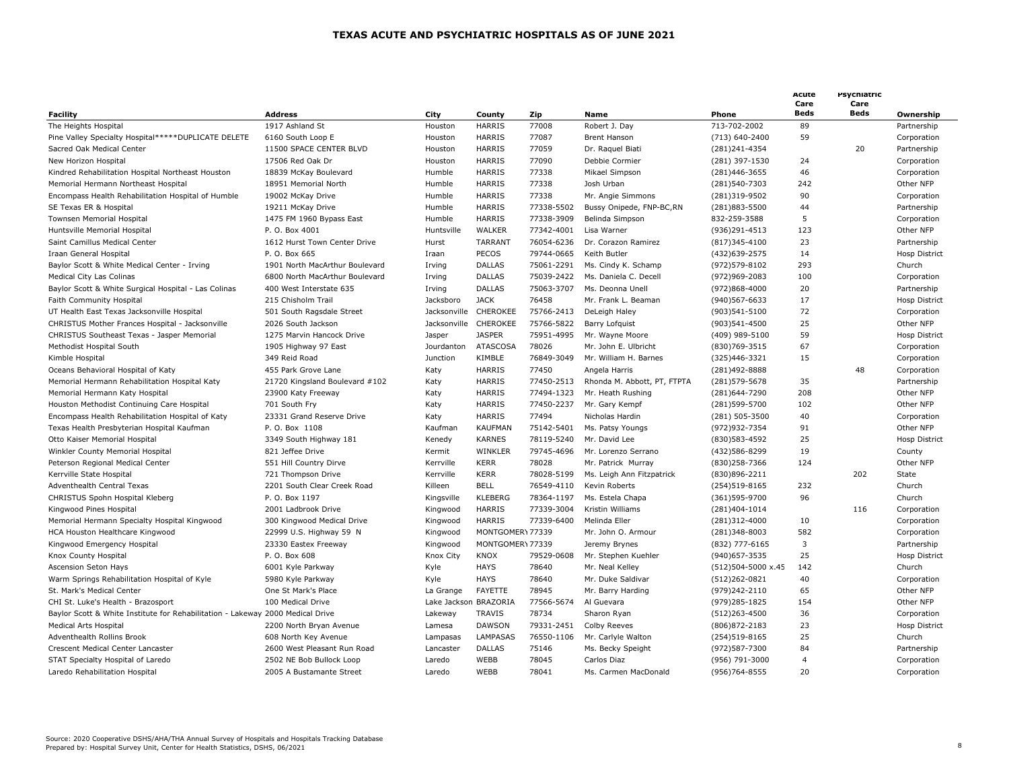| Facility                                                                       | <b>Address</b>                 | City                  | County           | Zip        | <b>Name</b>                 | Phone              | Acute<br>Care<br>Beds | Psychiatric<br>Care<br>Beds | Ownership            |
|--------------------------------------------------------------------------------|--------------------------------|-----------------------|------------------|------------|-----------------------------|--------------------|-----------------------|-----------------------------|----------------------|
| The Heights Hospital                                                           | 1917 Ashland St                | Houston               | <b>HARRIS</b>    | 77008      | Robert J. Day               | 713-702-2002       | 89                    |                             | Partnership          |
| Pine Valley Specialty Hospital*****DUPLICATE DELETE                            | 6160 South Loop E              | Houston               | <b>HARRIS</b>    | 77087      | <b>Brent Hanson</b>         | (713) 640-2400     | 59                    |                             | Corporation          |
| Sacred Oak Medical Center                                                      | 11500 SPACE CENTER BLVD        | Houston               | <b>HARRIS</b>    | 77059      | Dr. Raquel Biati            | (281) 241 - 4354   |                       | 20                          | Partnership          |
| New Horizon Hospital                                                           | 17506 Red Oak Dr               | Houston               | <b>HARRIS</b>    | 77090      | Debbie Cormier              | (281) 397-1530     | 24                    |                             | Corporation          |
| Kindred Rehabilitation Hospital Northeast Houston                              | 18839 McKay Boulevard          | Humble                | HARRIS           | 77338      | Mikael Simpson              | (281)446-3655      | 46                    |                             | Corporation          |
| Memorial Hermann Northeast Hospital                                            | 18951 Memorial North           | Humble                | <b>HARRIS</b>    | 77338      | Josh Urban                  | (281)540-7303      | 242                   |                             | Other NFP            |
| Encompass Health Rehabilitation Hospital of Humble                             | 19002 McKay Drive              | Humble                | <b>HARRIS</b>    | 77338      | Mr. Angie Simmons           | (281)319-9502      | 90                    |                             | Corporation          |
| SE Texas ER & Hospital                                                         | 19211 McKay Drive              | Humble                | <b>HARRIS</b>    | 77338-5502 | Bussy Onipede, FNP-BC,RN    | (281)883-5500      | 44                    |                             | Partnership          |
| Townsen Memorial Hospital                                                      | 1475 FM 1960 Bypass East       | Humble                | <b>HARRIS</b>    | 77338-3909 | Belinda Simpson             | 832-259-3588       | 5                     |                             | Corporation          |
|                                                                                | P. O. Box 4001                 | Huntsville            | WALKER           | 77342-4001 | Lisa Warner                 | (936)291-4513      | 123                   |                             | Other NFP            |
| Huntsville Memorial Hospital                                                   |                                |                       |                  |            |                             |                    |                       |                             |                      |
| Saint Camillus Medical Center                                                  | 1612 Hurst Town Center Drive   | Hurst                 | <b>TARRANT</b>   | 76054-6236 | Dr. Corazon Ramirez         | (817) 345-4100     | 23                    |                             | Partnership          |
| Iraan General Hospital                                                         | P. O. Box 665                  | Iraan                 | PECOS            | 79744-0665 | Keith Butler                | (432) 639-2575     | 14                    |                             | <b>Hosp District</b> |
| Baylor Scott & White Medical Center - Irving                                   | 1901 North MacArthur Boulevard | Irving                | <b>DALLAS</b>    | 75061-2291 | Ms. Cindy K. Schamp         | (972) 579-8102     | 293                   |                             | Church               |
| Medical City Las Colinas                                                       | 6800 North MacArthur Boulevard | Irving                | <b>DALLAS</b>    | 75039-2422 | Ms. Daniela C. Decell       | (972)969-2083      | 100                   |                             | Corporation          |
| Baylor Scott & White Surgical Hospital - Las Colinas                           | 400 West Interstate 635        | Irving                | <b>DALLAS</b>    | 75063-3707 | Ms. Deonna Unell            | (972)868-4000      | 20                    |                             | Partnership          |
| Faith Community Hospital                                                       | 215 Chisholm Trail             | Jacksboro             | <b>JACK</b>      | 76458      | Mr. Frank L. Beaman         | (940) 567-6633     | 17                    |                             | <b>Hosp District</b> |
| UT Health East Texas Jacksonville Hospital                                     | 501 South Ragsdale Street      | Jacksonville          | CHEROKEE         | 75766-2413 | DeLeigh Haley               | (903)541-5100      | 72                    |                             | Corporation          |
| CHRISTUS Mother Frances Hospital - Jacksonville                                | 2026 South Jackson             | Jacksonville CHEROKEE |                  | 75766-5822 | Barry Lofquist              | (903)541-4500      | 25                    |                             | Other NFP            |
| CHRISTUS Southeast Texas - Jasper Memorial                                     | 1275 Marvin Hancock Drive      | Jasper                | <b>JASPER</b>    | 75951-4995 | Mr. Wayne Moore             | (409) 989-5100     | 59                    |                             | <b>Hosp District</b> |
| Methodist Hospital South                                                       | 1905 Highway 97 East           | Jourdanton            | <b>ATASCOSA</b>  | 78026      | Mr. John E. Ulbricht        | (830) 769-3515     | 67                    |                             | Corporation          |
| Kimble Hospital                                                                | 349 Reid Road                  | Junction              | KIMBLE           | 76849-3049 | Mr. William H. Barnes       | (325)446-3321      | 15                    |                             | Corporation          |
| Oceans Behavioral Hospital of Katy                                             | 455 Park Grove Lane            | Katy                  | HARRIS           | 77450      | Angela Harris               | (281)492-8888      |                       | 48                          | Corporation          |
| Memorial Hermann Rehabilitation Hospital Katy                                  | 21720 Kingsland Boulevard #102 | Katy                  | <b>HARRIS</b>    | 77450-2513 | Rhonda M. Abbott, PT, FTPTA | (281) 579-5678     | 35                    |                             | Partnership          |
| Memorial Hermann Katy Hospital                                                 | 23900 Katy Freeway             | Katy                  | <b>HARRIS</b>    | 77494-1323 | Mr. Heath Rushing           | (281)644-7290      | 208                   |                             | Other NFP            |
| Houston Methodist Continuing Care Hospital                                     | 701 South Fry                  | Katy                  | <b>HARRIS</b>    | 77450-2237 | Mr. Gary Kempf              | (281) 599-5700     | 102                   |                             | Other NFP            |
| Encompass Health Rehabilitation Hospital of Katy                               | 23331 Grand Reserve Drive      | Katy                  | <b>HARRIS</b>    | 77494      | Nicholas Hardin             | (281) 505-3500     | 40                    |                             | Corporation          |
| Texas Health Presbyterian Hospital Kaufman                                     | P. O. Box 1108                 | Kaufman               | <b>KAUFMAN</b>   | 75142-5401 | Ms. Patsy Youngs            | (972) 932 - 7354   | 91                    |                             | Other NFP            |
| Otto Kaiser Memorial Hospital                                                  | 3349 South Highway 181         | Kenedy                | <b>KARNES</b>    | 78119-5240 | Mr. David Lee               | (830) 583-4592     | 25                    |                             | Hosp District        |
| Winkler County Memorial Hospital                                               | 821 Jeffee Drive               | Kermit                | WINKLER          | 79745-4696 | Mr. Lorenzo Serrano         | (432) 586-8299     | 19                    |                             | County               |
| Peterson Regional Medical Center                                               | 551 Hill Country Dirve         | Kerrville             | <b>KERR</b>      | 78028      | Mr. Patrick Murray          | (830) 258-7366     | 124                   |                             | Other NFP            |
| Kerrville State Hospital                                                       | 721 Thompson Drive             | Kerrville             | <b>KERR</b>      | 78028-5199 | Ms. Leigh Ann Fitzpatrick   | (830)896-2211      |                       | 202                         | State                |
| Adventhealth Central Texas                                                     | 2201 South Clear Creek Road    | Killeen               | <b>BELL</b>      | 76549-4110 | Kevin Roberts               | (254) 519-8165     | 232                   |                             | Church               |
| CHRISTUS Spohn Hospital Kleberg                                                | P. O. Box 1197                 | Kingsville            | <b>KLEBERG</b>   | 78364-1197 | Ms. Estela Chapa            | (361) 595-9700     | 96                    |                             | Church               |
| Kingwood Pines Hospital                                                        | 2001 Ladbrook Drive            | Kingwood              | <b>HARRIS</b>    | 77339-3004 | Kristin Williams            | (281)404-1014      |                       | 116                         | Corporation          |
| Memorial Hermann Specialty Hospital Kingwood                                   | 300 Kingwood Medical Drive     | Kingwood              | <b>HARRIS</b>    | 77339-6400 | Melinda Eller               | (281)312-4000      | 10                    |                             | Corporation          |
| HCA Houston Healthcare Kingwood                                                | 22999 U.S. Highway 59 N        | Kingwood              | MONTGOMERY 77339 |            | Mr. John O. Armour          | (281)348-8003      | 582                   |                             | Corporation          |
| Kingwood Emergency Hospital                                                    | 23330 Eastex Freeway           | Kingwood              | MONTGOMER\77339  |            | Jeremy Brynes               | (832) 777-6165     | 3                     |                             | Partnership          |
| Knox County Hospital                                                           | P. O. Box 608                  | Knox City             | KNOX             | 79529-0608 | Mr. Stephen Kuehler         | (940) 657 - 3535   | 25                    |                             | <b>Hosp District</b> |
| Ascension Seton Hays                                                           | 6001 Kyle Parkway              | Kyle                  | <b>HAYS</b>      | 78640      | Mr. Neal Kelley             | (512)504-5000 x.45 | 142                   |                             | Church               |
| Warm Springs Rehabilitation Hospital of Kyle                                   | 5980 Kyle Parkway              | Kyle                  | <b>HAYS</b>      | 78640      | Mr. Duke Saldivar           | (512)262-0821      | 40                    |                             | Corporation          |
| St. Mark's Medical Center                                                      | One St Mark's Place            | La Grange             | FAYETTE          | 78945      | Mr. Barry Harding           | (979)242-2110      | 65                    |                             | Other NFP            |
| CHI St. Luke's Health - Brazosport                                             | 100 Medical Drive              | Lake Jackson BRAZORIA |                  | 77566-5674 | Al Guevara                  | (979)285-1825      | 154                   |                             | Other NFP            |
| Baylor Scott & White Institute for Rehabilitation - Lakeway 2000 Medical Drive |                                | Lakeway               | <b>TRAVIS</b>    | 78734      | Sharon Ryan                 | (512)263-4500      | 36                    |                             | Corporation          |
| <b>Medical Arts Hospital</b>                                                   | 2200 North Bryan Avenue        | Lamesa                | <b>DAWSON</b>    | 79331-2451 | Colby Reeves                | (806) 872-2183     | 23                    |                             | <b>Hosp District</b> |
| Adventhealth Rollins Brook                                                     | 608 North Key Avenue           | Lampasas              | LAMPASAS         | 76550-1106 | Mr. Carlyle Walton          | (254) 519-8165     | 25                    |                             | Church               |
| Crescent Medical Center Lancaster                                              | 2600 West Pleasant Run Road    | Lancaster             | <b>DALLAS</b>    | 75146      | Ms. Becky Speight           | (972) 587-7300     | 84                    |                             | Partnership          |
|                                                                                | 2502 NE Bob Bullock Loop       | Laredo                | WEBB             | 78045      | Carlos Diaz                 | (956) 791-3000     | $\overline{4}$        |                             |                      |
| STAT Specialty Hospital of Laredo                                              |                                | Laredo                | WEBB             | 78041      | Ms. Carmen MacDonald        |                    | 20                    |                             | Corporation          |
| Laredo Rehabilitation Hospital                                                 | 2005 A Bustamante Street       |                       |                  |            |                             | (956) 764-8555     |                       |                             | Corporation          |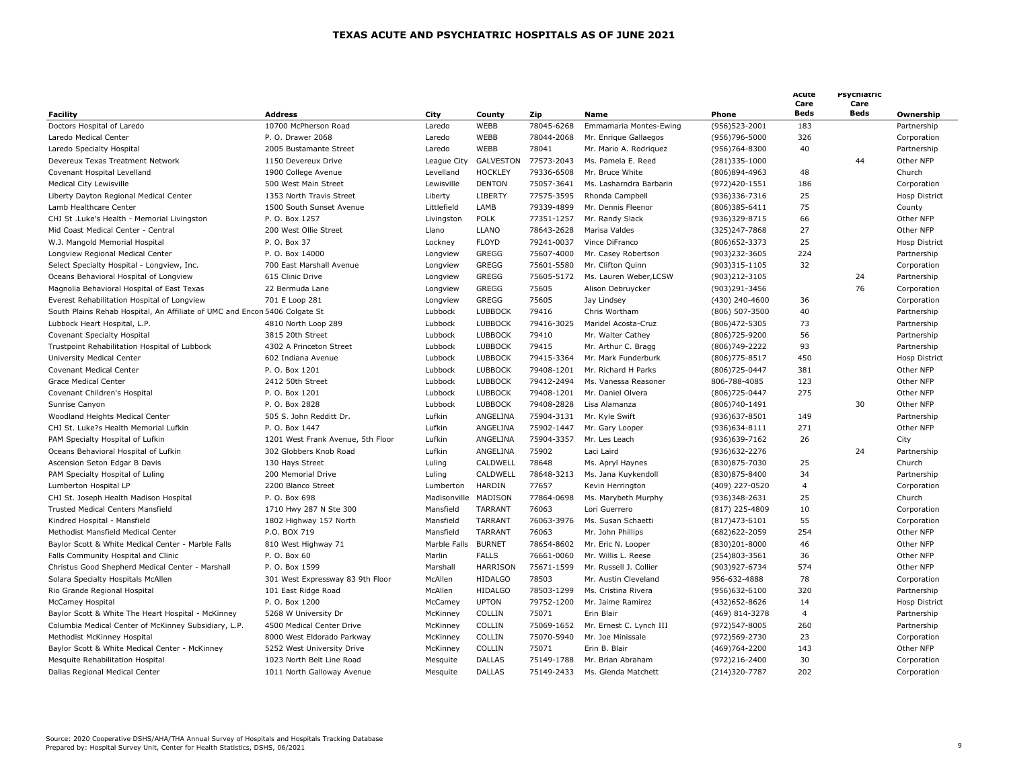|                                                                            |                                   |                      |                 |                     |                         |                   | Acute<br>Care  | Psychiatric<br>Care |                      |
|----------------------------------------------------------------------------|-----------------------------------|----------------------|-----------------|---------------------|-------------------------|-------------------|----------------|---------------------|----------------------|
| <b>Facility</b>                                                            | <b>Address</b>                    | City                 | County          | Zip                 | <b>Name</b>             | Phone             | Beds           | Beds                | Ownership            |
| Doctors Hospital of Laredo                                                 | 10700 McPherson Road              | Laredo               | WEBB            | 78045-6268          | Emmamaria Montes-Ewing  | (956) 523-2001    | 183            |                     | Partnership          |
| Laredo Medical Center                                                      | P. O. Drawer 2068                 | Laredo               | WEBB            | 78044-2068          | Mr. Enrique Gallaegos   | (956)796-5000     | 326            |                     | Corporation          |
| Laredo Specialty Hospital                                                  | 2005 Bustamante Street            | Laredo               | WEBB            | 78041               | Mr. Mario A. Rodriquez  | (956)764-8300     | 40             |                     | Partnership          |
| Devereux Texas Treatment Network                                           | 1150 Devereux Drive               | League City          | GALVESTON       | 77573-2043          | Ms. Pamela E. Reed      | (281)335-1000     |                | 44                  | Other NFP            |
| Covenant Hospital Levelland                                                | 1900 College Avenue               | Levelland            | <b>HOCKLEY</b>  | 79336-6508          | Mr. Bruce White         | (806)894-4963     | 48             |                     | Church               |
| Medical City Lewisville                                                    | 500 West Main Street              | Lewisville           | <b>DENTON</b>   | 75057-3641          | Ms. Lasharndra Barbarin | (972)420-1551     | 186            |                     | Corporation          |
| Liberty Dayton Regional Medical Center                                     | 1353 North Travis Street          | Liberty              | LIBERTY         | 77575-3595          | Rhonda Campbell         | (936)336-7316     | 25             |                     | <b>Hosp District</b> |
| Lamb Healthcare Center                                                     | 1500 South Sunset Avenue          | Littlefield          | LAMB            | 79339-4899          | Mr. Dennis Fleenor      | $(806)385 - 6411$ | 75             |                     | County               |
| CHI St .Luke's Health - Memorial Livingston                                | P. O. Box 1257                    | Livingston           | <b>POLK</b>     | 77351-1257          | Mr. Randy Slack         | (936)329-8715     | 66             |                     | Other NFP            |
| Mid Coast Medical Center - Central                                         | 200 West Ollie Street             | Llano                | <b>LLANO</b>    | 78643-2628          | Marisa Valdes           | (325)247-7868     | 27             |                     | Other NFP            |
| W.J. Mangold Memorial Hospital                                             | P. O. Box 37                      | Lockney              | <b>FLOYD</b>    | 79241-0037          | Vince DiFranco          | (806) 652-3373    | 25             |                     | <b>Hosp District</b> |
| Longview Regional Medical Center                                           | P. O. Box 14000                   | Longview             | <b>GREGG</b>    | 75607-4000          | Mr. Casey Robertson     | (903)232-3605     | 224            |                     | Partnership          |
| Select Specialty Hospital - Longview, Inc.                                 | 700 East Marshall Avenue          | Longview             | GREGG           | 75601-5580          | Mr. Clifton Quinn       | (903)315-1105     | 32             |                     | Corporation          |
| Oceans Behavioral Hospital of Longview                                     | 615 Clinic Drive                  | Longview             | <b>GREGG</b>    | 75605-5172          | Ms. Lauren Weber, LCSW  | (903)212-3105     |                | 24                  | Partnership          |
| Magnolia Behavioral Hospital of East Texas                                 | 22 Bermuda Lane                   | Longview             | GREGG           | 75605               | Alison Debruycker       | (903)291-3456     |                | 76                  | Corporation          |
| Everest Rehabilitation Hospital of Longview                                | 701 E Loop 281                    | Longview             | <b>GREGG</b>    | 75605               | Jay Lindsey             | (430) 240-4600    | 36             |                     | Corporation          |
| South Plains Rehab Hospital, An Affiliate of UMC and Encon 5406 Colgate St |                                   | Lubbock              | <b>LUBBOCK</b>  | 79416               | Chris Wortham           | (806) 507-3500    | 40             |                     | Partnership          |
| Lubbock Heart Hospital, L.P.                                               | 4810 North Loop 289               | Lubbock              | <b>LUBBOCK</b>  | 79416-3025          | Maridel Acosta-Cruz     | (806) 472-5305    | 73             |                     | Partnership          |
| Covenant Specialty Hospital                                                | 3815 20th Street                  | Lubbock              | <b>LUBBOCK</b>  | 79410               | Mr. Walter Cathey       | (806) 725-9200    | 56             |                     | Partnership          |
| Trustpoint Rehabilitation Hospital of Lubbock                              | 4302 A Princeton Street           | Lubbock              | <b>LUBBOCK</b>  | 79415               | Mr. Arthur C. Bragg     | (806) 749 - 2222  | 93             |                     | Partnership          |
| University Medical Center                                                  | 602 Indiana Avenue                | Lubbock              | <b>LUBBOCK</b>  | 79415-3364          | Mr. Mark Funderburk     | (806) 775-8517    | 450            |                     | <b>Hosp District</b> |
| Covenant Medical Center                                                    | P. O. Box 1201                    | Lubbock              | <b>LUBBOCK</b>  | 79408-1201          | Mr. Richard H Parks     | (806) 725-0447    | 381            |                     | Other NFP            |
| <b>Grace Medical Center</b>                                                | 2412 50th Street                  | Lubbock              | <b>LUBBOCK</b>  | 79412-2494          | Ms. Vanessa Reasoner    | 806-788-4085      | 123            |                     | Other NFP            |
| Covenant Children's Hospital                                               | P. O. Box 1201                    | Lubbock              | <b>LUBBOCK</b>  | 79408-1201          | Mr. Daniel Olvera       | (806) 725-0447    | 275            |                     | Other NFP            |
| Sunrise Canyon                                                             | P. O. Box 2828                    | Lubbock              | <b>LUBBOCK</b>  | 79408-2828          | Lisa Alamanza           | (806)740-1491     |                | 30                  | Other NFP            |
| Woodland Heights Medical Center                                            | 505 S. John Redditt Dr.           | Lufkin               | ANGELINA        | 75904-3131          | Mr. Kyle Swift          | (936)637-8501     | 149            |                     | Partnership          |
| CHI St. Luke?s Health Memorial Lufkin                                      | P. O. Box 1447                    | Lufkin               | ANGELINA        | 75902-1447          | Mr. Gary Looper         | (936) 634-8111    | 271            |                     | Other NFP            |
| PAM Specialty Hospital of Lufkin                                           | 1201 West Frank Avenue, 5th Floor | Lufkin               | ANGELINA        | 75904-3357          | Mr. Les Leach           | (936) 639-7162    | 26             |                     | City                 |
| Oceans Behavioral Hospital of Lufkin                                       | 302 Globbers Knob Road            | Lufkin               | ANGELINA        | 75902               | Laci Laird              | (936) 632 - 2276  |                | 24                  | Partnership          |
| Ascension Seton Edgar B Davis                                              | 130 Hays Street                   | Luling               | CALDWELL        | 78648               | Ms. Apryl Haynes        | (830) 875-7030    | 25             |                     | Church               |
|                                                                            |                                   |                      | CALDWELL        |                     |                         |                   | 34             |                     |                      |
| PAM Specialty Hospital of Luling                                           | 200 Memorial Drive                | Luling               |                 | 78648-3213<br>77657 | Ms. Jana Kuykendoll     | (830)875-8400     |                |                     | Partnership          |
| Lumberton Hospital LP                                                      | 2200 Blanco Street                | Lumberton            | HARDIN          | 77864-0698          | Kevin Herrington        | (409) 227-0520    | 4              |                     | Corporation          |
| CHI St. Joseph Health Madison Hospital                                     | P. O. Box 698                     | Madisonville MADISON |                 |                     | Ms. Marybeth Murphy     | (936)348-2631     | 25             |                     | Church               |
| <b>Trusted Medical Centers Mansfield</b>                                   | 1710 Hwy 287 N Ste 300            | Mansfield            | <b>TARRANT</b>  | 76063               | Lori Guerrero           | (817) 225-4809    | 10             |                     | Corporation          |
| Kindred Hospital - Mansfield                                               | 1802 Highway 157 North            | Mansfield            | <b>TARRANT</b>  | 76063-3976          | Ms. Susan Schaetti      | $(817)473 - 6101$ | 55             |                     | Corporation          |
| Methodist Mansfield Medical Center                                         | P.O. BOX 719                      | Mansfield            | <b>TARRANT</b>  | 76063               | Mr. John Phillips       | (682) 622 - 2059  | 254            |                     | Other NFP            |
| Baylor Scott & White Medical Center - Marble Falls                         | 810 West Highway 71               | Marble Falls         | <b>BURNET</b>   | 78654-8602          | Mr. Eric N. Looper      | (830)201-8000     | 46             |                     | Other NFP            |
| Falls Community Hospital and Clinic                                        | P. O. Box 60                      | Marlin               | <b>FALLS</b>    | 76661-0060          | Mr. Willis L. Reese     | (254)803-3561     | 36             |                     | Other NFP            |
| Christus Good Shepherd Medical Center - Marshall                           | P. O. Box 1599                    | Marshall             | <b>HARRISON</b> | 75671-1599          | Mr. Russell J. Collier  | (903)927-6734     | 574            |                     | Other NFP            |
| Solara Specialty Hospitals McAllen                                         | 301 West Expressway 83 9th Floor  | McAllen              | <b>HIDALGO</b>  | 78503               | Mr. Austin Cleveland    | 956-632-4888      | 78             |                     | Corporation          |
| Rio Grande Regional Hospital                                               | 101 East Ridge Road               | McAllen              | <b>HIDALGO</b>  | 78503-1299          | Ms. Cristina Rivera     | (956)632-6100     | 320            |                     | Partnership          |
| McCamey Hospital                                                           | P. O. Box 1200                    | McCamey              | <b>UPTON</b>    | 79752-1200          | Mr. Jaime Ramirez       | (432) 652-8626    | 14             |                     | Hosp District        |
| Baylor Scott & White The Heart Hospital - McKinney                         | 5268 W University Dr              | McKinney             | COLLIN          | 75071               | Erin Blair              | (469) 814-3278    | $\overline{4}$ |                     | Partnership          |
| Columbia Medical Center of McKinney Subsidiary, L.P.                       | 4500 Medical Center Drive         | McKinney             | COLLIN          | 75069-1652          | Mr. Ernest C. Lynch III | (972)547-8005     | 260            |                     | Partnership          |
| Methodist McKinney Hospital                                                | 8000 West Eldorado Parkway        | McKinney             | COLLIN          | 75070-5940          | Mr. Joe Minissale       | (972) 569 - 2730  | 23             |                     | Corporation          |
| Baylor Scott & White Medical Center - McKinney                             | 5252 West University Drive        | McKinney             | COLLIN          | 75071               | Erin B. Blair           | (469) 764 - 2200  | 143            |                     | Other NFP            |
| Mesquite Rehabilitation Hospital                                           | 1023 North Belt Line Road         | Mesquite             | <b>DALLAS</b>   | 75149-1788          | Mr. Brian Abraham       | (972)216-2400     | 30             |                     | Corporation          |
| Dallas Regional Medical Center                                             | 1011 North Galloway Avenue        | Mesquite             | <b>DALLAS</b>   | 75149-2433          | Ms. Glenda Matchett     | (214)320-7787     | 202            |                     | Corporation          |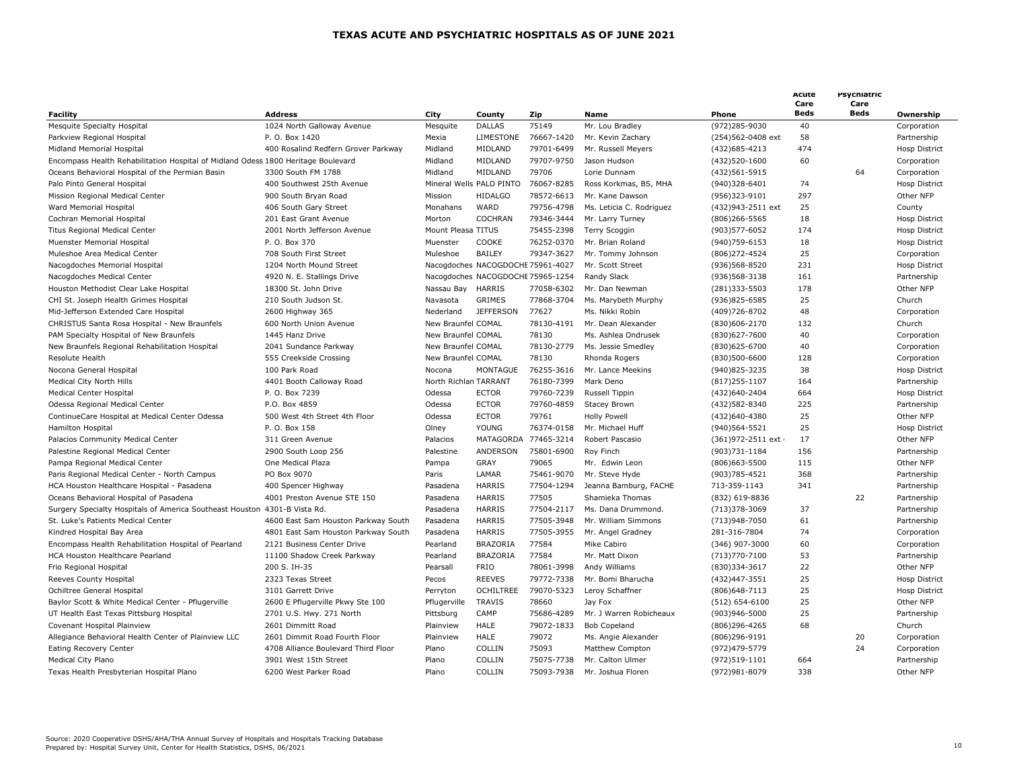| Facility                                                                          | <b>Address</b>                      | City                  | County                            | Zip                  | <b>Name</b>              | Phone              | Acute<br>Care<br><b>Beds</b> | Psychiatric<br>Care<br>Beds | Ownership            |
|-----------------------------------------------------------------------------------|-------------------------------------|-----------------------|-----------------------------------|----------------------|--------------------------|--------------------|------------------------------|-----------------------------|----------------------|
| <b>Mesquite Specialty Hospital</b>                                                | 1024 North Galloway Avenue          | Mesquite              | <b>DALLAS</b>                     | 75149                | Mr. Lou Bradley          | (972)285-9030      | 40                           |                             | Corporation          |
| Parkview Regional Hospital                                                        | P. O. Box 1420                      | Mexia                 | <b>LIMESTONE</b>                  | 76667-1420           | Mr. Kevin Zachary        | (254)562-0408 ext  | 58                           |                             | Partnership          |
| Midland Memorial Hospital                                                         | 400 Rosalind Redfern Grover Parkway | Midland               | MIDLAND                           | 79701-6499           | Mr. Russell Meyers       | (432)685-4213      | 474                          |                             | Hosp District        |
| Encompass Health Rehabilitation Hospital of Midland Odess 1800 Heritage Boulevard |                                     | Midland               | MIDLAND                           | 79707-9750           | Jason Hudson             | (432)520-1600      | 60                           |                             | Corporation          |
| Oceans Behavioral Hospital of the Permian Basin                                   | 3300 South FM 1788                  | Midland               | MIDLAND                           | 79706                | Lorie Dunnam             | (432) 561-5915     |                              | 64                          | Corporation          |
| Palo Pinto General Hospital                                                       | 400 Southwest 25th Avenue           |                       | Mineral Wells PALO PINTO          | 76067-8285           | Ross Korkmas, BS, MHA    | (940)328-6401      | 74                           |                             | <b>Hosp District</b> |
| Mission Regional Medical Center                                                   | 900 South Bryan Road                | Mission               | <b>HIDALGO</b>                    | 78572-6613           | Mr. Kane Dawson          | (956)323-9101      | 297                          |                             | Other NFP            |
| Ward Memorial Hospital                                                            | 406 South Gary Street               | Monahans              | WARD                              | 79756-4798           | Ms. Leticia C. Rodriguez | (432)943-2511 ext  | 25                           |                             | County               |
| Cochran Memorial Hospital                                                         | 201 East Grant Avenue               | Morton                | <b>COCHRAN</b>                    | 79346-3444           | Mr. Larry Turney         | $(806)$ 266-5565   | 18                           |                             | Hosp District        |
| Titus Regional Medical Center                                                     | 2001 North Jefferson Avenue         | Mount Pleasa TITUS    |                                   | 75455-2398           | Terry Scoggin            | (903) 577-6052     | 174                          |                             | Hosp District        |
| Muenster Memorial Hospital                                                        | P. O. Box 370                       | Muenster              | COOKE                             | 76252-0370           | Mr. Brian Roland         | (940) 759-6153     | 18                           |                             | Hosp District        |
| Muleshoe Area Medical Center                                                      | 708 South First Street              | Muleshoe              | <b>BAILEY</b>                     | 79347-3627           | Mr. Tommy Johnson        | (806) 272-4524     | 25                           |                             | Corporation          |
| Nacogdoches Memorial Hospital                                                     | 1204 North Mound Street             |                       | Nacogdoches NACOGDOCHE 75961-4027 |                      | Mr. Scott Street         | (936)568-8520      | 231                          |                             | <b>Hosp District</b> |
| Nacogdoches Medical Center                                                        | 4920 N. E. Stallings Drive          |                       | Nacogdoches NACOGDOCHE 75965-1254 |                      | Randy Slack              | (936) 568-3138     | 161                          |                             | Partnership          |
| Houston Methodist Clear Lake Hospital                                             | 18300 St. John Drive                | Nassau Bay            | <b>HARRIS</b>                     | 77058-6302           | Mr. Dan Newman           | (281)333-5503      | 178                          |                             | Other NFP            |
| CHI St. Joseph Health Grimes Hospital                                             | 210 South Judson St.                | Navasota              | <b>GRIMES</b>                     | 77868-3704           | Ms. Marybeth Murphy      | (936)825-6585      | 25                           |                             | Church               |
| Mid-Jefferson Extended Care Hospital                                              | 2600 Highway 365                    | Nederland             | <b>JEFFERSON</b>                  | 77627                | Ms. Nikki Robin          | (409) 726-8702     | 48                           |                             | Corporation          |
| CHRISTUS Santa Rosa Hospital - New Braunfels                                      | 600 North Union Avenue              | New Braunfel COMAL    |                                   | 78130-4191           | Mr. Dean Alexander       | (830)606-2170      | 132                          |                             | Church               |
| PAM Specialty Hospital of New Braunfels                                           | 1445 Hanz Drive                     | New Braunfel COMAL    |                                   | 78130                | Ms. Ashlea Ondrusek      | (830)627-7600      | 40                           |                             | Corporation          |
| New Braunfels Regional Rehabilitation Hospital                                    | 2041 Sundance Parkway               | New Braunfel COMAL    |                                   | 78130-2779           | Ms. Jessie Smedley       | (830)625-6700      | 40                           |                             | Corporation          |
| Resolute Health                                                                   | 555 Creekside Crossing              | New Braunfel COMAL    |                                   | 78130                | Rhonda Rogers            | (830)500-6600      | 128                          |                             | Corporation          |
| Nocona General Hospital                                                           | 100 Park Road                       | Nocona                | <b>MONTAGUE</b>                   | 76255-3616           | Mr. Lance Meekins        | (940)825-3235      | 38                           |                             | <b>Hosp District</b> |
| Medical City North Hills                                                          | 4401 Booth Calloway Road            | North Richlan TARRANT |                                   | 76180-7399           | Mark Deno                | $(817)$ 255-1107   | 164                          |                             | Partnership          |
| <b>Medical Center Hospital</b>                                                    | P. O. Box 7239                      | Odessa                | <b>ECTOR</b>                      | 79760-7239           | Russell Tippin           | (432)640-2404      | 664                          |                             | <b>Hosp District</b> |
| Odessa Regional Medical Center                                                    | P.O. Box 4859                       | Odessa                | <b>ECTOR</b>                      | 79760-4859           | <b>Stacey Brown</b>      | (432) 582-8340     | 225                          |                             | Partnership          |
| ContinueCare Hospital at Medical Center Odessa                                    | 500 West 4th Street 4th Floor       | Odessa                | <b>ECTOR</b>                      | 79761                | <b>Holly Powell</b>      | (432)640-4380      | 25                           |                             | Other NFP            |
| Hamilton Hospital                                                                 | P. O. Box 158                       | Olney                 | <b>YOUNG</b>                      | 76374-0158           | Mr. Michael Huff         | (940)564-5521      | 25                           |                             | <b>Hosp District</b> |
| Palacios Community Medical Center                                                 | 311 Green Avenue                    | Palacios              |                                   | MATAGORDA 77465-3214 | Robert Pascasio          | (361) 972-2511 ext | 17                           |                             | Other NFP            |
| Palestine Regional Medical Center                                                 | 2900 South Loop 256                 | Palestine             | ANDERSON                          | 75801-6900           | Roy Finch                | (903)731-1184      | 156                          |                             | Partnership          |
| Pampa Regional Medical Center                                                     | One Medical Plaza                   | Pampa                 | GRAY                              | 79065                | Mr. Edwin Leon           | (806)663-5500      | 115                          |                             | Other NFP            |
| Paris Regional Medical Center - North Campus                                      | PO Box 9070                         | Paris                 | LAMAR                             | 75461-9070           | Mr. Steve Hyde           | (903) 785-4521     | 368                          |                             | Partnership          |
| HCA Houston Healthcare Hospital - Pasadena                                        | 400 Spencer Highway                 | Pasadena              | <b>HARRIS</b>                     | 77504-1294           | Jeanna Bamburg, FACHE    | 713-359-1143       | 341                          |                             | Partnership          |
| Oceans Behavioral Hospital of Pasadena                                            | 4001 Preston Avenue STE 150         | Pasadena              | <b>HARRIS</b>                     | 77505                | Shamieka Thomas          | (832) 619-8836     |                              | 22                          | Partnership          |
| Surgery Specialty Hospitals of America Southeast Houston 4301-B Vista Rd.         |                                     | Pasadena              | <b>HARRIS</b>                     | 77504-2117           | Ms. Dana Drummond.       | (713)378-3069      | 37                           |                             | Partnership          |
| St. Luke's Patients Medical Center                                                | 4600 East Sam Houston Parkway South | Pasadena              | <b>HARRIS</b>                     | 77505-3948           | Mr. William Simmons      | (713) 948 - 7050   | 61                           |                             | Partnership          |
| Kindred Hospital Bay Area                                                         | 4801 East Sam Houston Parkway South | Pasadena              | <b>HARRIS</b>                     | 77505-3955           | Mr. Angel Gradney        | 281-316-7804       | 74                           |                             | Corporation          |
| Encompass Health Rehabilitation Hospital of Pearland                              | 2121 Business Center Drive          | Pearland              | <b>BRAZORIA</b>                   | 77584                | Mike Cabiro              | (346) 907-3000     | 60                           |                             | Corporation          |
| HCA Houston Healthcare Pearland                                                   | 11100 Shadow Creek Parkway          | Pearland              | BRAZORIA                          | 77584                | Mr. Matt Dixon           | (713) 770 - 7100   | 53                           |                             | Partnership          |
| Frio Regional Hospital                                                            | 200 S. IH-35                        | Pearsall              | <b>FRIO</b>                       | 78061-3998           | Andy Williams            | (830)334-3617      | 22                           |                             | Other NFP            |
|                                                                                   | 2323 Texas Street                   | Pecos                 | <b>REEVES</b>                     | 79772-7338           | Mr. Bomi Bharucha        | (432)447-3551      | 25                           |                             | Hosp District        |
| Reeves County Hospital<br>Ochiltree General Hospital                              | 3101 Garrett Drive                  | Perryton              | <b>OCHILTREE</b>                  | 79070-5323           | Leroy Schaffner          | (806) 648 - 7113   | 25                           |                             | <b>Hosp District</b> |
|                                                                                   |                                     |                       | <b>TRAVIS</b>                     | 78660                | Jay Fox                  |                    | 25                           |                             | Other NFP            |
| Baylor Scott & White Medical Center - Pflugerville                                | 2600 E Pflugerville Pkwy Ste 100    | Pflugerville          |                                   |                      |                          | $(512) 654 - 6100$ |                              |                             |                      |
| UT Health East Texas Pittsburg Hospital                                           | 2701 U.S. Hwy. 271 North            | Pittsburg             | CAMP                              | 75686-4289           | Mr. J Warren Robicheaux  | (903)946-5000      | 25                           |                             | Partnership          |
| Covenant Hospital Plainview                                                       | 2601 Dimmitt Road                   | Plainview             | HALE                              | 79072-1833           | <b>Bob Copeland</b>      | (806)296-4265      | 68                           |                             | Church               |
| Allegiance Behavioral Health Center of Plainview LLC                              | 2601 Dimmit Road Fourth Floor       | Plainview             | <b>HALE</b>                       | 79072                | Ms. Angie Alexander      | (806) 296-9191     |                              | 20                          | Corporation          |
| Eating Recovery Center                                                            | 4708 Alliance Boulevard Third Floor | Plano                 | COLLIN                            | 75093                | Matthew Compton          | (972)479-5779      |                              | 24                          | Corporation          |
| Medical City Plano                                                                | 3901 West 15th Street               | Plano                 | COLLIN                            | 75075-7738           | Mr. Calton Ulmer         | (972)519-1101      | 664                          |                             | Partnership          |
| Texas Health Presbyterian Hospital Plano                                          | 6200 West Parker Road               | Plano                 | COLLIN                            | 75093-7938           | Mr. Joshua Floren        | (972) 981-8079     | 338                          |                             | Other NFP            |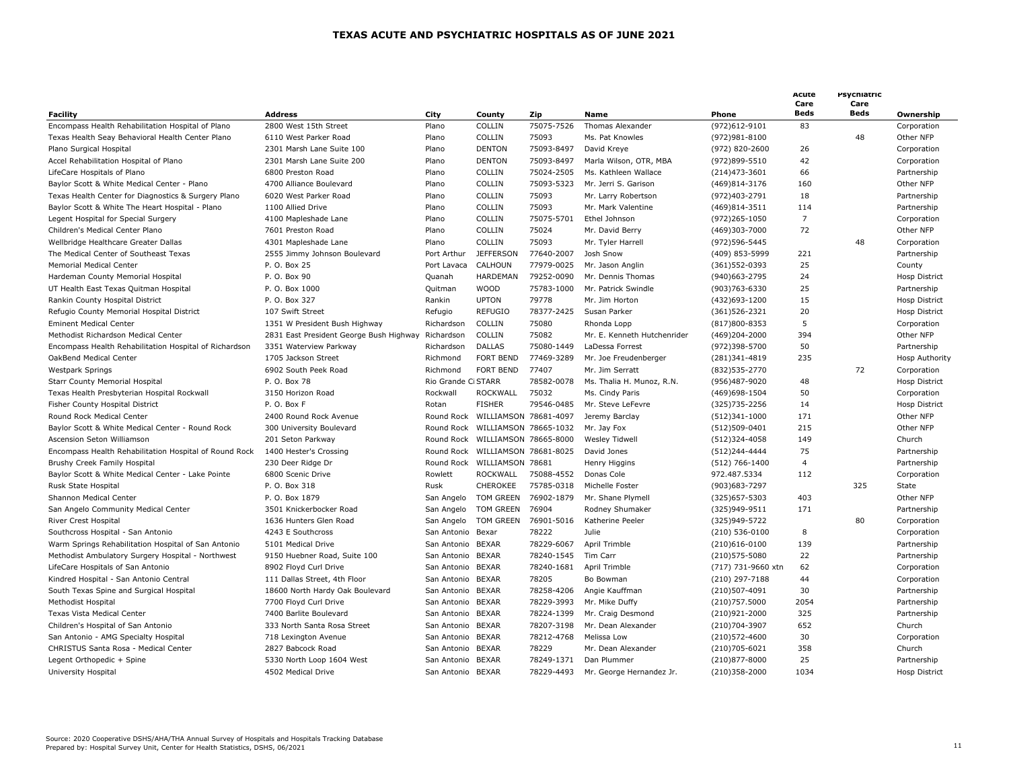| <b>Facility</b>                                        | <b>Address</b>                          | City               | County                           | Zip        | Name                        | Phone              | Acute<br>Care<br><b>Beds</b> | Psychiatric<br>Care<br><b>Beds</b> | Ownership             |
|--------------------------------------------------------|-----------------------------------------|--------------------|----------------------------------|------------|-----------------------------|--------------------|------------------------------|------------------------------------|-----------------------|
| Encompass Health Rehabilitation Hospital of Plano      | 2800 West 15th Street                   | Plano              | COLLIN                           | 75075-7526 | <b>Thomas Alexander</b>     | (972)612-9101      | 83                           |                                    | Corporation           |
| Texas Health Seay Behavioral Health Center Plano       | 6110 West Parker Road                   | Plano              | COLLIN                           | 75093      | Ms. Pat Knowles             | (972) 981-8100     |                              | 48                                 | Other NFP             |
| Plano Surgical Hospital                                | 2301 Marsh Lane Suite 100               | Plano              | <b>DENTON</b>                    | 75093-8497 | David Kreve                 | (972) 820-2600     | 26                           |                                    | Corporation           |
| Accel Rehabilitation Hospital of Plano                 | 2301 Marsh Lane Suite 200               | Plano              | <b>DENTON</b>                    | 75093-8497 | Marla Wilson, OTR, MBA      | (972)899-5510      | 42                           |                                    | Corporation           |
| LifeCare Hospitals of Plano                            | 6800 Preston Road                       | Plano              | COLLIN                           | 75024-2505 | Ms. Kathleen Wallace        | $(214)473 - 3601$  | 66                           |                                    | Partnership           |
| Baylor Scott & White Medical Center - Plano            | 4700 Alliance Boulevard                 | Plano              | COLLIN                           | 75093-5323 | Mr. Jerri S. Garison        | (469)814-3176      | 160                          |                                    | Other NFP             |
| Texas Health Center for Diagnostics & Surgery Plano    | 6020 West Parker Road                   | Plano              | COLLIN                           | 75093      | Mr. Larry Robertson         | (972)403-2791      | 18                           |                                    | Partnership           |
| Baylor Scott & White The Heart Hospital - Plano        | 1100 Allied Drive                       | Plano              | COLLIN                           | 75093      | Mr. Mark Valentine          | (469)814-3511      | 114                          |                                    | Partnership           |
| Legent Hospital for Special Surgery                    | 4100 Mapleshade Lane                    | Plano              | COLLIN                           | 75075-5701 | Ethel Johnson               | (972)265-1050      | $\overline{7}$               |                                    | Corporation           |
| Children's Medical Center Plano                        | 7601 Preston Road                       | Plano              | COLLIN                           | 75024      | Mr. David Berry             | (469)303-7000      | 72                           |                                    | Other NFP             |
| Wellbridge Healthcare Greater Dallas                   | 4301 Mapleshade Lane                    | Plano              | COLLIN                           | 75093      | Mr. Tyler Harrell           | (972) 596-5445     |                              | 48                                 | Corporation           |
| The Medical Center of Southeast Texas                  | 2555 Jimmy Johnson Boulevard            | Port Arthur        | <b>JEFFERSON</b>                 | 77640-2007 | Josh Snow                   | (409) 853-5999     | 221                          |                                    | Partnership           |
|                                                        |                                         |                    |                                  |            |                             |                    |                              |                                    |                       |
| Memorial Medical Center                                | P. O. Box 25                            | Port Lavaca        | CALHOUN                          | 77979-0025 | Mr. Jason Anglin            | (361) 552-0393     | 25                           |                                    | County                |
| Hardeman County Memorial Hospital                      | P. O. Box 90                            | Quanah             | HARDEMAN                         | 79252-0090 | Mr. Dennis Thomas           | (940) 663 - 2795   | 24                           |                                    | Hosp District         |
| UT Health East Texas Quitman Hospital                  | P. O. Box 1000                          | Quitman            | <b>WOOD</b>                      | 75783-1000 | Mr. Patrick Swindle         | (903) 763-6330     | 25                           |                                    | Partnership           |
| Rankin County Hospital District                        | P. O. Box 327                           | Rankin             | <b>UPTON</b>                     | 79778      | Mr. Jim Horton              | (432)693-1200      | 15                           |                                    | Hosp District         |
| Refugio County Memorial Hospital District              | 107 Swift Street                        | Refugio            | <b>REFUGIO</b>                   | 78377-2425 | Susan Parker                | $(361)526 - 2321$  | 20                           |                                    | <b>Hosp District</b>  |
| <b>Eminent Medical Center</b>                          | 1351 W President Bush Highway           | Richardson         | COLLIN                           | 75080      | Rhonda Lopp                 | (817)800-8353      | 5                            |                                    | Corporation           |
| Methodist Richardson Medical Center                    | 2831 East President George Bush Highway | Richardson         | COLLIN                           | 75082      | Mr. E. Kenneth Hutchenrider | (469)204-2000      | 394                          |                                    | Other NFP             |
| Encompass Health Rehabilitation Hospital of Richardson | 3351 Waterview Parkway                  | Richardson         | <b>DALLAS</b>                    | 75080-1449 | LaDessa Forrest             | (972)398-5700      | 50                           |                                    | Partnership           |
| OakBend Medical Center                                 | 1705 Jackson Street                     | Richmond           | <b>FORT BEND</b>                 | 77469-3289 | Mr. Joe Freudenberger       | (281)341-4819      | 235                          |                                    | <b>Hosp Authority</b> |
| <b>Westpark Springs</b>                                | 6902 South Peek Road                    | Richmond           | <b>FORT BEND</b>                 | 77407      | Mr. Jim Serratt             | (832) 535 - 2770   |                              | 72                                 | Corporation           |
| <b>Starr County Memorial Hospital</b>                  | P. O. Box 78                            | Rio Grande C STARR |                                  | 78582-0078 | Ms. Thalia H. Munoz, R.N.   | (956)487-9020      | 48                           |                                    | Hosp District         |
| Texas Health Presbyterian Hospital Rockwall            | 3150 Horizon Road                       | Rockwall           | <b>ROCKWALL</b>                  | 75032      | Ms. Cindy Paris             | (469)698-1504      | 50                           |                                    | Corporation           |
| Fisher County Hospital District                        | P.O. Box F                              | Rotan              | <b>FISHER</b>                    | 79546-0485 | Mr. Steve LeFevre           | (325) 735 - 2256   | 14                           |                                    | <b>Hosp District</b>  |
| Round Rock Medical Center                              | 2400 Round Rock Avenue                  |                    | Round Rock WILLIAMSON 78681-4097 |            | Jeremy Barclay              | (512)341-1000      | 171                          |                                    | Other NFP             |
| Baylor Scott & White Medical Center - Round Rock       | 300 University Boulevard                |                    | Round Rock WILLIAMSON 78665-1032 |            | Mr. Jay Fox                 | (512)509-0401      | 215                          |                                    | Other NFP             |
| Ascension Seton Williamson                             | 201 Seton Parkway                       |                    | Round Rock WILLIAMSON 78665-8000 |            | Wesley Tidwell              | (512)324-4058      | 149                          |                                    | Church                |
| Encompass Health Rehabilitation Hospital of Round Rock | 1400 Hester's Crossing                  |                    | Round Rock WILLIAMSON 78681-8025 |            | David Jones                 | (512)244-4444      | 75                           |                                    | Partnership           |
| Brushy Creek Family Hospital                           | 230 Deer Ridge Dr                       |                    | Round Rock WILLIAMSON 78681      |            | Henry Higgins               | (512) 766-1400     | $\overline{4}$               |                                    | Partnership           |
| Baylor Scott & White Medical Center - Lake Pointe      | 6800 Scenic Drive                       | Rowlett            | ROCKWALL                         | 75088-4552 | Donas Cole                  | 972.487.5334       | 112                          |                                    | Corporation           |
| Rusk State Hospital                                    | P. O. Box 318                           | Rusk               | CHEROKEE                         | 75785-0318 | Michelle Foster             | (903) 683 - 7297   |                              | 325                                | State                 |
| Shannon Medical Center                                 | P. O. Box 1879                          | San Angelo         | TOM GREEN                        | 76902-1879 | Mr. Shane Plymell           | (325) 657-5303     | 403                          |                                    | Other NFP             |
| San Angelo Community Medical Center                    | 3501 Knickerbocker Road                 |                    | San Angelo TOM GREEN             | 76904      | Rodney Shumaker             | (325)949-9511      | 171                          |                                    | Partnership           |
| River Crest Hospital                                   | 1636 Hunters Glen Road                  | San Angelo         | TOM GREEN                        | 76901-5016 | Katherine Peeler            | (325) 949 - 5722   |                              | 80                                 | Corporation           |
| Southcross Hospital - San Antonio                      | 4243 E Southcross                       | San Antonio Bexar  |                                  | 78222      | Julie                       | $(210) 536 - 0100$ | 8                            |                                    | Corporation           |
| Warm Springs Rehabilitation Hospital of San Antonio    | 5101 Medical Drive                      | San Antonio        | <b>BEXAR</b>                     | 78229-6067 | April Trimble               | $(210)616 - 0100$  | 139                          |                                    | Partnership           |
| Methodist Ambulatory Surgery Hospital - Northwest      | 9150 Huebner Road, Suite 100            | San Antonio BEXAR  |                                  | 78240-1545 | Tim Carr                    | (210) 575-5080     | 22                           |                                    | Partnership           |
| LifeCare Hospitals of San Antonio                      | 8902 Floyd Curl Drive                   | San Antonio        | <b>BEXAR</b>                     | 78240-1681 | April Trimble               | (717) 731-9660 xtn | 62                           |                                    | Corporation           |
|                                                        |                                         |                    | <b>BEXAR</b>                     |            |                             |                    | 44                           |                                    |                       |
| Kindred Hospital - San Antonio Central                 | 111 Dallas Street, 4th Floor            | San Antonio        |                                  | 78205      | Bo Bowman                   | (210) 297-7188     |                              |                                    | Corporation           |
| South Texas Spine and Surgical Hospital                | 18600 North Hardy Oak Boulevard         | San Antonio        | <b>BEXAR</b>                     | 78258-4206 | Angie Kauffman              | (210)507-4091      | 30                           |                                    | Partnership           |
| Methodist Hospital                                     | 7700 Floyd Curl Drive                   | San Antonio        | <b>BEXAR</b>                     | 78229-3993 | Mr. Mike Duffy              | (210) 757.5000     | 2054                         |                                    | Partnership           |
| Texas Vista Medical Center                             | 7400 Barlite Boulevard                  | San Antonio        | <b>BEXAR</b>                     | 78224-1399 | Mr. Craig Desmond           | (210)921-2000      | 325                          |                                    | Partnership           |
| Children's Hospital of San Antonio                     | 333 North Santa Rosa Street             | San Antonio        | <b>BEXAR</b>                     | 78207-3198 | Mr. Dean Alexander          | (210)704-3907      | 652                          |                                    | Church                |
| San Antonio - AMG Specialty Hospital                   | 718 Lexington Avenue                    | San Antonio        | <b>BEXAR</b>                     | 78212-4768 | Melissa Low                 | (210) 572-4600     | 30                           |                                    | Corporation           |
| CHRISTUS Santa Rosa - Medical Center                   | 2827 Babcock Road                       | San Antonio        | <b>BEXAR</b>                     | 78229      | Mr. Dean Alexander          | (210)705-6021      | 358                          |                                    | Church                |
| Legent Orthopedic + Spine                              | 5330 North Loop 1604 West               | San Antonio BEXAR  |                                  | 78249-1371 | Dan Plummer                 | (210)877-8000      | 25                           |                                    | Partnership           |
| University Hospital                                    | 4502 Medical Drive                      | San Antonio BEXAR  |                                  | 78229-4493 | Mr. George Hernandez Jr.    | (210)358-2000      | 1034                         |                                    | <b>Hosp District</b>  |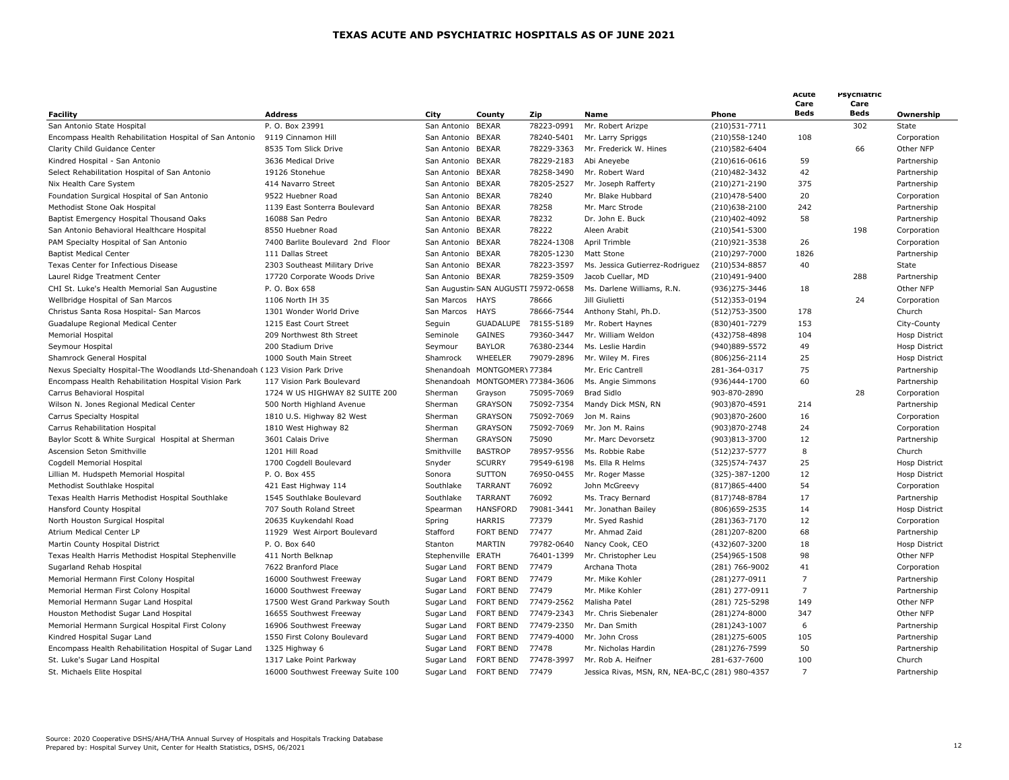|                                                                              |                                   |                    |                                     |            |                                                 |                   | Acute<br>Care  | Psychiatric<br>Care |                      |
|------------------------------------------------------------------------------|-----------------------------------|--------------------|-------------------------------------|------------|-------------------------------------------------|-------------------|----------------|---------------------|----------------------|
| <b>Facility</b>                                                              | <b>Address</b>                    | City               | County                              | Zip        | <b>Name</b>                                     | Phone             | <b>Beds</b>    | Beds                | Ownership            |
| San Antonio State Hospital                                                   | P. O. Box 23991                   | San Antonio        | <b>BEXAR</b>                        | 78223-0991 | Mr. Robert Arizpe                               | (210) 531 - 7711  |                | 302                 | State                |
| Encompass Health Rehabilitation Hospital of San Antonio                      | 9119 Cinnamon Hill                | San Antonio        | <b>BEXAR</b>                        | 78240-5401 | Mr. Larry Spriggs                               | (210) 558 - 1240  | 108            |                     | Corporation          |
| Clarity Child Guidance Center                                                | 8535 Tom Slick Drive              | San Antonio BEXAR  |                                     | 78229-3363 | Mr. Frederick W. Hines                          | (210) 582-6404    |                | 66                  | Other NFP            |
| Kindred Hospital - San Antonio                                               | 3636 Medical Drive                | San Antonio        | <b>BEXAR</b>                        | 78229-2183 | Abi Aneyebe                                     | $(210)616 - 0616$ | 59             |                     | Partnership          |
| Select Rehabilitation Hospital of San Antonio                                | 19126 Stonehue                    | San Antonio        | <b>BEXAR</b>                        | 78258-3490 | Mr. Robert Ward                                 | (210)482-3432     | 42             |                     | Partnership          |
| Nix Health Care System                                                       | 414 Navarro Street                | San Antonio        | <b>BEXAR</b>                        | 78205-2527 | Mr. Joseph Rafferty                             | (210) 271 - 2190  | 375            |                     | Partnership          |
| Foundation Surgical Hospital of San Antonio                                  | 9522 Huebner Road                 | San Antonio        | <b>BEXAR</b>                        | 78240      | Mr. Blake Hubbard                               | (210)478-5400     | 20             |                     | Corporation          |
| Methodist Stone Oak Hospital                                                 | 1139 East Sonterra Boulevard      | San Antonio        | <b>BEXAR</b>                        | 78258      | Mr. Marc Strode                                 | $(210)638 - 2100$ | 242            |                     | Partnership          |
| Baptist Emergency Hospital Thousand Oaks                                     | 16088 San Pedro                   | San Antonio BEXAR  |                                     | 78232      | Dr. John E. Buck                                | (210)402-4092     | 58             |                     | Partnership          |
| San Antonio Behavioral Healthcare Hospital                                   | 8550 Huebner Road                 | San Antonio        | <b>BEXAR</b>                        | 78222      | Aleen Arabit                                    | (210)541-5300     |                | 198                 | Corporation          |
| PAM Specialty Hospital of San Antonio                                        | 7400 Barlite Boulevard 2nd Floor  | San Antonio BEXAR  |                                     | 78224-1308 | April Trimble                                   | (210)921-3538     | 26             |                     | Corporation          |
| <b>Baptist Medical Center</b>                                                | 111 Dallas Street                 | San Antonio        | <b>BEXAR</b>                        | 78205-1230 | Matt Stone                                      | (210)297-7000     | 1826           |                     | Partnership          |
| Texas Center for Infectious Disease                                          | 2303 Southeast Military Drive     | San Antonio        | <b>BEXAR</b>                        | 78223-3597 | Ms. Jessica Gutierrez-Rodriguez                 | (210) 534-8857    | 40             |                     | State                |
| Laurel Ridge Treatment Center                                                | 17720 Corporate Woods Drive       | San Antonio BEXAR  |                                     | 78259-3509 | Jacob Cuellar, MD                               | (210)491-9400     |                | 288                 | Partnership          |
| CHI St. Luke's Health Memorial San Augustine                                 | P. O. Box 658                     |                    | San Augustin SAN AUGUSTI 75972-0658 |            | Ms. Darlene Williams, R.N.                      | (936) 275-3446    | 18             |                     | Other NFP            |
| Wellbridge Hospital of San Marcos                                            | 1106 North IH 35                  | San Marcos         | <b>HAYS</b>                         | 78666      | Jill Giulietti                                  | (512)353-0194     |                | 24                  | Corporation          |
| Christus Santa Rosa Hospital- San Marcos                                     | 1301 Wonder World Drive           | San Marcos         | <b>HAYS</b>                         | 78666-7544 | Anthony Stahl, Ph.D.                            | (512) 753 - 3500  | 178            |                     | Church               |
| Guadalupe Regional Medical Center                                            | 1215 East Court Street            | Seguin             | <b>GUADALUPE</b>                    | 78155-5189 | Mr. Robert Haynes                               | (830)401-7279     | 153            |                     | City-County          |
| Memorial Hospital                                                            | 209 Northwest 8th Street          | Seminole           | <b>GAINES</b>                       | 79360-3447 | Mr. William Weldon                              | (432) 758-4898    | 104            |                     | <b>Hosp District</b> |
| Seymour Hospital                                                             | 200 Stadium Drive                 | Seymour            | <b>BAYLOR</b>                       | 76380-2344 | Ms. Leslie Hardin                               | (940)889-5572     | 49             |                     | Hosp District        |
| Shamrock General Hospital                                                    | 1000 South Main Street            | Shamrock           | WHEELER                             | 79079-2896 | Mr. Wiley M. Fires                              | $(806)$ 256-2114  | 25             |                     | <b>Hosp District</b> |
| Nexus Specialty Hospital-The Woodlands Ltd-Shenandoah (123 Vision Park Drive |                                   |                    | Shenandoah MONTGOMER\77384          |            | Mr. Eric Cantrell                               | 281-364-0317      | 75             |                     | Partnership          |
| Encompass Health Rehabilitation Hospital Vision Park                         | 117 Vision Park Boulevard         |                    | Shenandoah MONTGOMER\ 77384-3606    |            | Ms. Angie Simmons                               | (936)444-1700     | 60             |                     | Partnership          |
| Carrus Behavioral Hospital                                                   | 1724 W US HIGHWAY 82 SUITE 200    | Sherman            | Grayson                             | 75095-7069 | <b>Brad Sidlo</b>                               | 903-870-2890      |                | 28                  | Corporation          |
| Wilson N. Jones Regional Medical Center                                      | 500 North Highland Avenue         | Sherman            | <b>GRAYSON</b>                      | 75092-7354 | Mandy Dick MSN, RN                              | (903)870-4591     | 214            |                     | Partnership          |
| Carrus Specialty Hospital                                                    | 1810 U.S. Highway 82 West         | Sherman            | <b>GRAYSON</b>                      | 75092-7069 | Jon M. Rains                                    | (903)870-2600     | 16             |                     | Corporation          |
| Carrus Rehabilitation Hospital                                               | 1810 West Highway 82              | Sherman            | <b>GRAYSON</b>                      | 75092-7069 | Mr. Jon M. Rains                                | (903)870-2748     | 24             |                     | Corporation          |
| Baylor Scott & White Surgical Hospital at Sherman                            | 3601 Calais Drive                 | Sherman            | <b>GRAYSON</b>                      | 75090      | Mr. Marc Devorsetz                              | (903)813-3700     | 12             |                     | Partnership          |
| Ascension Seton Smithville                                                   | 1201 Hill Road                    | Smithville         | <b>BASTROP</b>                      | 78957-9556 | Ms. Robbie Rabe                                 | $(512)237 - 5777$ | 8              |                     | Church               |
| Cogdell Memorial Hospital                                                    | 1700 Cogdell Boulevard            | Snyder             | <b>SCURRY</b>                       | 79549-6198 | Ms. Ella R Helms                                | (325) 574 - 7437  | 25             |                     | Hosp District        |
| Lillian M. Hudspeth Memorial Hospital                                        | P. O. Box 455                     | Sonora             | <b>SUTTON</b>                       | 76950-0455 | Mr. Roger Masse                                 | (325)-387-1200    | 12             |                     | Hosp District        |
| Methodist Southlake Hospital                                                 | 421 East Highway 114              | Southlake          | <b>TARRANT</b>                      | 76092      | John McGreevy                                   | (817) 865-4400    | 54             |                     | Corporation          |
| Texas Health Harris Methodist Hospital Southlake                             | 1545 Southlake Boulevard          | Southlake          | <b>TARRANT</b>                      | 76092      | Ms. Tracy Bernard                               | (817) 748-8784    | 17             |                     | Partnership          |
| Hansford County Hospital                                                     | 707 South Roland Street           | Spearman           | <b>HANSFORD</b>                     | 79081-3441 | Mr. Jonathan Bailey                             | (806) 659-2535    | 14             |                     | Hosp District        |
| North Houston Surgical Hospital                                              | 20635 Kuykendahl Road             | Spring             | HARRIS                              | 77379      | Mr. Syed Rashid                                 | (281)363-7170     | 12             |                     | Corporation          |
| Atrium Medical Center LP                                                     | 11929 West Airport Boulevard      | Stafford           | FORT BEND                           | 77477      | Mr. Ahmad Zaid                                  | (281)207-8200     | 68             |                     | Partnership          |
| Martin County Hospital District                                              | P. O. Box 640                     | Stanton            | MARTIN                              | 79782-0640 | Nancy Cook, CEO                                 | (432)607-3200     | 18             |                     | <b>Hosp District</b> |
| Texas Health Harris Methodist Hospital Stephenville                          | 411 North Belknap                 | Stephenville ERATH |                                     | 76401-1399 | Mr. Christopher Leu                             | (254) 965-1508    | 98             |                     | Other NFP            |
| Sugarland Rehab Hospital                                                     | 7622 Branford Place               | Sugar Land         | FORT BEND                           | 77479      | Archana Thota                                   | (281) 766-9002    | 41             |                     | Corporation          |
| Memorial Hermann First Colony Hospital                                       | 16000 Southwest Freeway           | Sugar Land         | FORT BEND                           | 77479      | Mr. Mike Kohler                                 | (281)277-0911     | $\overline{7}$ |                     | Partnership          |
| Memorial Herman First Colony Hospital                                        | 16000 Southwest Freeway           | Sugar Land         | FORT BEND                           | 77479      | Mr. Mike Kohler                                 | (281) 277-0911    | $\overline{7}$ |                     | Partnership          |
| Memorial Hermann Sugar Land Hospital                                         | 17500 West Grand Parkway South    | Sugar Land         | FORT BEND                           | 77479-2562 | Malisha Patel                                   | (281) 725-5298    | 149            |                     | Other NFP            |
| Houston Methodist Sugar Land Hospital                                        | 16655 Southwest Freeway           | Sugar Land         | <b>FORT BEND</b>                    | 77479-2343 | Mr. Chris Siebenaler                            | (281)274-8000     | 347            |                     | Other NFP            |
| Memorial Hermann Surgical Hospital First Colony                              | 16906 Southwest Freeway           | Sugar Land         | FORT BEND                           | 77479-2350 | Mr. Dan Smith                                   | (281)243-1007     | 6              |                     | Partnership          |
| Kindred Hospital Sugar Land                                                  | 1550 First Colony Boulevard       | Sugar Land         | FORT BEND                           | 77479-4000 | Mr. John Cross                                  | (281) 275-6005    | 105            |                     | Partnership          |
| Encompass Health Rehabilitation Hospital of Sugar Land                       | 1325 Highway 6                    | Sugar Land         | FORT BEND                           | 77478      | Mr. Nicholas Hardin                             | (281) 276 - 7599  | 50             |                     | Partnership          |
| St. Luke's Sugar Land Hospital                                               | 1317 Lake Point Parkway           | Sugar Land         | FORT BEND                           | 77478-3997 | Mr. Rob A. Heifner                              | 281-637-7600      | 100            |                     | Church               |
| St. Michaels Elite Hospital                                                  | 16000 Southwest Freeway Suite 100 |                    | Sugar Land FORT BEND                | 77479      | Jessica Rivas, MSN, RN, NEA-BC,C (281) 980-4357 |                   | $\overline{7}$ |                     | Partnership          |
|                                                                              |                                   |                    |                                     |            |                                                 |                   |                |                     |                      |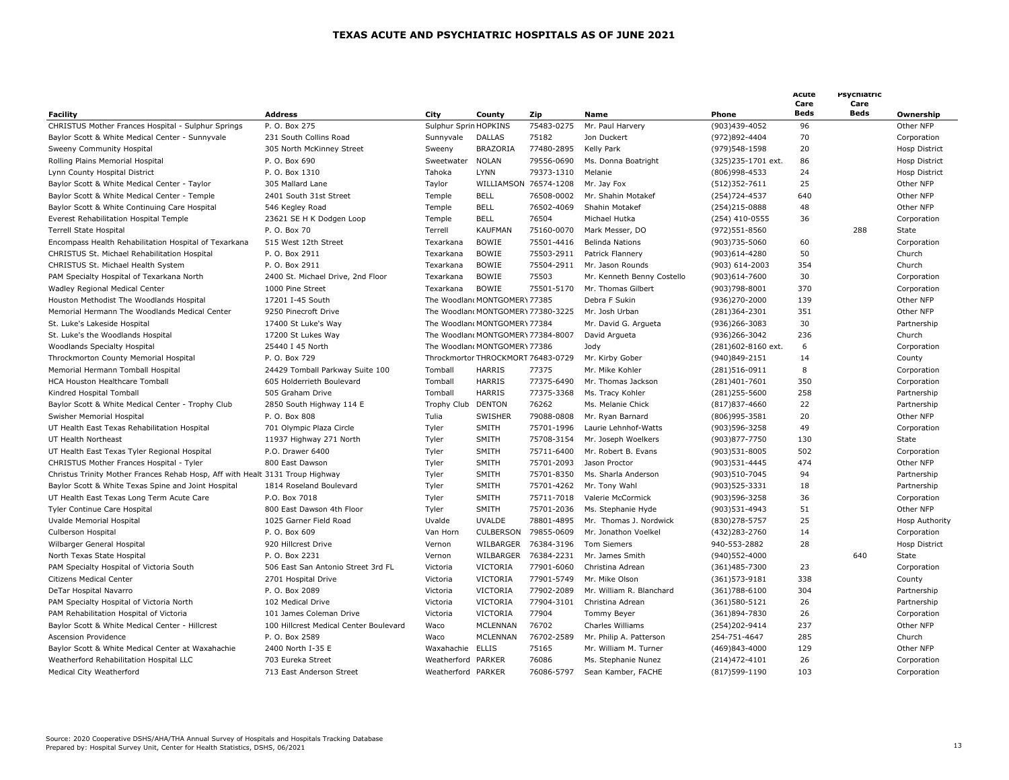|                                                                               |                                        |                       |                                    |                       |                            |                    | Acute<br>Care | Psychiatric<br>Care |                      |
|-------------------------------------------------------------------------------|----------------------------------------|-----------------------|------------------------------------|-----------------------|----------------------------|--------------------|---------------|---------------------|----------------------|
| <b>Facility</b>                                                               | <b>Address</b>                         | City                  | County                             | Zip                   | <b>Name</b>                | Phone              | Beds          | Beds                | Ownership            |
| CHRISTUS Mother Frances Hospital - Sulphur Springs                            | P. O. Box 275                          | Sulphur Sprin HOPKINS |                                    | 75483-0275            | Mr. Paul Harvery           | (903)439-4052      | 96            |                     | Other NFP            |
| Baylor Scott & White Medical Center - Sunnyvale                               | 231 South Collins Road                 | Sunnyvale             | <b>DALLAS</b>                      | 75182                 | Jon Duckert                | (972)892-4404      | 70            |                     | Corporation          |
| Sweeny Community Hospital                                                     | 305 North McKinney Street              | Sweeny                | BRAZORIA                           | 77480-2895            | Kelly Park                 | (979)548-1598      | 20            |                     | Hosp District        |
| Rolling Plains Memorial Hospital                                              | P. O. Box 690                          | Sweetwater            | <b>NOLAN</b>                       | 79556-0690            | Ms. Donna Boatright        | (325)235-1701 ext. | 86            |                     | <b>Hosp District</b> |
| Lynn County Hospital District                                                 | P. O. Box 1310                         | Tahoka                | <b>LYNN</b>                        | 79373-1310            | Melanie                    | (806) 998-4533     | 24            |                     | Hosp District        |
| Baylor Scott & White Medical Center - Taylor                                  | 305 Mallard Lane                       | Taylor                |                                    | WILLIAMSON 76574-1208 | Mr. Jay Fox                | (512)352-7611      | 25            |                     | Other NFP            |
| Baylor Scott & White Medical Center - Temple                                  | 2401 South 31st Street                 | Temple                | <b>BELL</b>                        | 76508-0002            | Mr. Shahin Motakef         | (254) 724-4537     | 640           |                     | Other NFP            |
| Baylor Scott & White Continuing Care Hospital                                 | 546 Kegley Road                        | Temple                | <b>BELL</b>                        | 76502-4069            | Shahin Motakef             | (254)215-0888      | 48            |                     | Other NFP            |
| Everest Rehabilitation Hospital Temple                                        | 23621 SE H K Dodgen Loop               | Temple                | <b>BELL</b>                        | 76504                 | Michael Hutka              | (254) 410-0555     | 36            |                     | Corporation          |
| <b>Terrell State Hospital</b>                                                 | P. O. Box 70                           | Terrell               | <b>KAUFMAN</b>                     | 75160-0070            | Mark Messer, DO            | (972) 551-8560     |               | 288                 | State                |
| Encompass Health Rehabilitation Hospital of Texarkana                         | 515 West 12th Street                   | Texarkana             | <b>BOWIE</b>                       | 75501-4416            | <b>Belinda Nations</b>     | (903)735-5060      | 60            |                     | Corporation          |
| CHRISTUS St. Michael Rehabilitation Hospital                                  | P. O. Box 2911                         | Texarkana             | <b>BOWIE</b>                       | 75503-2911            | Patrick Flannery           | (903)614-4280      | 50            |                     | Church               |
| CHRISTUS St. Michael Health System                                            | P. O. Box 2911                         | Texarkana             | <b>BOWIE</b>                       | 75504-2911            | Mr. Jason Rounds           | (903) 614-2003     | 354           |                     | Church               |
| PAM Specialty Hospital of Texarkana North                                     | 2400 St. Michael Drive, 2nd Floor      | Texarkana             | <b>BOWIE</b>                       | 75503                 | Mr. Kenneth Benny Costello | (903)614-7600      | 30            |                     | Corporation          |
| Wadley Regional Medical Center                                                | 1000 Pine Street                       | Texarkana             | <b>BOWIE</b>                       | 75501-5170            | Mr. Thomas Gilbert         | (903)798-8001      | 370           |                     | Corporation          |
| Houston Methodist The Woodlands Hospital                                      | 17201 I-45 South                       |                       | The Woodland MONTGOMERY 77385      |                       | Debra F Sukin              | (936)270-2000      | 139           |                     | Other NFP            |
| Memorial Hermann The Woodlands Medical Center                                 | 9250 Pinecroft Drive                   |                       | The Woodland MONTGOMER\ 77380-3225 |                       | Mr. Josh Urban             | (281)364-2301      | 351           |                     | Other NFP            |
| St. Luke's Lakeside Hospital                                                  | 17400 St Luke's Way                    |                       | The Woodland MONTGOMER\77384       |                       | Mr. David G. Argueta       | (936) 266-3083     | 30            |                     | Partnership          |
| St. Luke's the Woodlands Hospital                                             | 17200 St Lukes Way                     |                       | The Woodland MONTGOMERY 77384-8007 |                       | David Argueta              | (936)266-3042      | 236           |                     | Church               |
| Woodlands Specialty Hospital                                                  | 25440 I 45 North                       |                       | The Woodlan(MONTGOMER) 77386       |                       | Jody                       | (281)602-8160 ext. | 6             |                     | Corporation          |
| Throckmorton County Memorial Hospital                                         | P. O. Box 729                          |                       | Throckmortor THROCKMORT 76483-0729 |                       | Mr. Kirby Gober            | (940)849-2151      | 14            |                     | County               |
| Memorial Hermann Tomball Hospital                                             | 24429 Tomball Parkway Suite 100        | Tomball               | <b>HARRIS</b>                      | 77375                 | Mr. Mike Kohler            | (281)516-0911      | 8             |                     | Corporation          |
| HCA Houston Healthcare Tomball                                                | 605 Holderrieth Boulevard              | Tomball               | <b>HARRIS</b>                      | 77375-6490            | Mr. Thomas Jackson         | (281)401-7601      | 350           |                     | Corporation          |
| Kindred Hospital Tomball                                                      | 505 Graham Drive                       | Tomball               | HARRIS                             | 77375-3368            | Ms. Tracy Kohler           | (281) 255-5600     | 258           |                     | Partnership          |
| Baylor Scott & White Medical Center - Trophy Club                             | 2850 South Highway 114 E               | Trophy Club           | <b>DENTON</b>                      | 76262                 | Ms. Melanie Chick          | $(817)837 - 4660$  | 22            |                     | Partnership          |
| Swisher Memorial Hospital                                                     | P. O. Box 808                          | Tulia                 | SWISHER                            | 79088-0808            | Mr. Ryan Barnard           | (806)995-3581      | 20            |                     | Other NFP            |
|                                                                               |                                        |                       | SMITH                              | 75701-1996            |                            |                    | 49            |                     |                      |
| UT Health East Texas Rehabilitation Hospital                                  | 701 Olympic Plaza Circle               | Tyler                 |                                    |                       | Laurie Lehnhof-Watts       | (903)596-3258      |               |                     | Corporation          |
| UT Health Northeast                                                           | 11937 Highway 271 North                | Tyler                 | SMITH                              | 75708-3154            | Mr. Joseph Woelkers        | (903)877-7750      | 130           |                     | State                |
| UT Health East Texas Tyler Regional Hospital                                  | P.O. Drawer 6400                       | Tyler                 | SMITH                              | 75711-6400            | Mr. Robert B. Evans        | (903)531-8005      | 502           |                     | Corporation          |
| CHRISTUS Mother Frances Hospital - Tyler                                      | 800 East Dawson                        | Tyler                 | <b>SMITH</b>                       | 75701-2093            | Jason Proctor              | (903) 531-4445     | 474           |                     | Other NFP            |
| Christus Trinity Mother Frances Rehab Hosp, Aff with Healt 3131 Troup Highway |                                        | Tyler                 | SMITH                              | 75701-8350            | Ms. Sharla Anderson        | (903)510-7045      | 94            |                     | Partnership          |
| Baylor Scott & White Texas Spine and Joint Hospital                           | 1814 Roseland Boulevard                | Tyler                 | SMITH                              | 75701-4262            | Mr. Tony Wahl              | (903) 525 - 3331   | 18            |                     | Partnership          |
| UT Health East Texas Long Term Acute Care                                     | P.O. Box 7018                          | Tyler                 | SMITH                              | 75711-7018            | Valerie McCormick          | (903)596-3258      | 36            |                     | Corporation          |
| Tyler Continue Care Hospital                                                  | 800 East Dawson 4th Floor              | Tyler                 | SMITH                              | 75701-2036            | Ms. Stephanie Hyde         | (903)531-4943      | 51            |                     | Other NFP            |
| Uvalde Memorial Hospital                                                      | 1025 Garner Field Road                 | Uvalde                | <b>UVALDE</b>                      | 78801-4895            | Mr. Thomas J. Nordwick     | (830) 278-5757     | 25            |                     | Hosp Authority       |
| Culberson Hospital                                                            | P. O. Box 609                          | Van Horn              | <b>CULBERSON</b>                   | 79855-0609            | Mr. Jonathon Voelkel       | (432)283-2760      | 14            |                     | Corporation          |
| Wilbarger General Hospital                                                    | 920 Hillcrest Drive                    | Vernon                | WILBARGER                          | 76384-3196            | <b>Tom Siemers</b>         | 940-553-2882       | 28            |                     | Hosp District        |
| North Texas State Hospital                                                    | P. O. Box 2231                         | Vernon                | WILBARGER                          | 76384-2231            | Mr. James Smith            | (940)552-4000      |               | 640                 | State                |
| PAM Specialty Hospital of Victoria South                                      | 506 East San Antonio Street 3rd FL     | Victoria              | VICTORIA                           | 77901-6060            | Christina Adrean           | (361)485-7300      | 23            |                     | Corporation          |
| <b>Citizens Medical Center</b>                                                | 2701 Hospital Drive                    | Victoria              | VICTORIA                           | 77901-5749            | Mr. Mike Olson             | (361) 573-9181     | 338           |                     | County               |
| DeTar Hospital Navarro                                                        | P. O. Box 2089                         | Victoria              | VICTORIA                           | 77902-2089            | Mr. William R. Blanchard   | $(361)788 - 6100$  | 304           |                     | Partnership          |
| PAM Specialty Hospital of Victoria North                                      | 102 Medical Drive                      | Victoria              | VICTORIA                           | 77904-3101            | Christina Adrean           | $(361)580 - 5121$  | 26            |                     | Partnership          |
| PAM Rehabilitation Hospital of Victoria                                       | 101 James Coleman Drive                | Victoria              | VICTORIA                           | 77904                 | <b>Tommy Beyer</b>         | (361)894-7830      | 26            |                     | Corporation          |
| Baylor Scott & White Medical Center - Hillcrest                               | 100 Hillcrest Medical Center Boulevard | Waco                  | <b>MCLENNAN</b>                    | 76702                 | Charles Williams           | (254)202-9414      | 237           |                     | Other NFP            |
| Ascension Providence                                                          | P. O. Box 2589                         | Waco                  | <b>MCLENNAN</b>                    | 76702-2589            | Mr. Philip A. Patterson    | 254-751-4647       | 285           |                     | Church               |
| Baylor Scott & White Medical Center at Waxahachie                             | 2400 North I-35 E                      | Waxahachie ELLIS      |                                    | 75165                 | Mr. William M. Turner      | (469)843-4000      | 129           |                     | Other NFP            |
| Weatherford Rehabilitation Hospital LLC                                       | 703 Eureka Street                      | Weatherford PARKER    |                                    | 76086                 | Ms. Stephanie Nunez        | $(214)472 - 4101$  | 26            |                     | Corporation          |
| Medical City Weatherford                                                      | 713 East Anderson Street               | Weatherford PARKER    |                                    | 76086-5797            | Sean Kamber, FACHE         | (817) 599-1190     | 103           |                     | Corporation          |